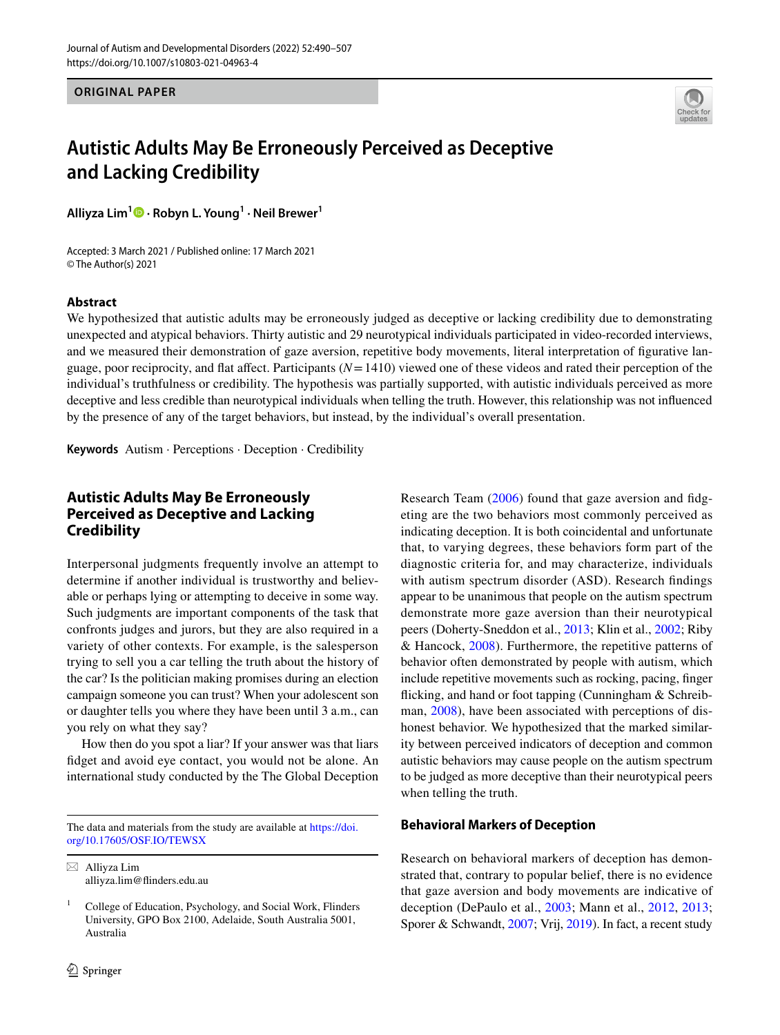**ORIGINAL PAPER**



# **Autistic Adults May Be Erroneously Perceived as Deceptive and Lacking Credibility**

**Alliyza Lim1 · Robyn L. Young1 · Neil Brewer1**

Accepted: 3 March 2021 / Published online: 17 March 2021 © The Author(s) 2021

### **Abstract**

We hypothesized that autistic adults may be erroneously judged as deceptive or lacking credibility due to demonstrating unexpected and atypical behaviors. Thirty autistic and 29 neurotypical individuals participated in video-recorded interviews, and we measured their demonstration of gaze aversion, repetitive body movements, literal interpretation of fgurative language, poor reciprocity, and flat affect. Participants  $(N=1410)$  viewed one of these videos and rated their perception of the individual's truthfulness or credibility. The hypothesis was partially supported, with autistic individuals perceived as more deceptive and less credible than neurotypical individuals when telling the truth. However, this relationship was not infuenced by the presence of any of the target behaviors, but instead, by the individual's overall presentation.

**Keywords** Autism · Perceptions · Deception · Credibility

# **Autistic Adults May Be Erroneously Perceived as Deceptive and Lacking Credibility**

Interpersonal judgments frequently involve an attempt to determine if another individual is trustworthy and believable or perhaps lying or attempting to deceive in some way. Such judgments are important components of the task that confronts judges and jurors, but they are also required in a variety of other contexts. For example, is the salesperson trying to sell you a car telling the truth about the history of the car? Is the politician making promises during an election campaign someone you can trust? When your adolescent son or daughter tells you where they have been until 3 a.m., can you rely on what they say?

How then do you spot a liar? If your answer was that liars fdget and avoid eye contact, you would not be alone. An international study conducted by the The Global Deception

The data and materials from the study are available at [https://doi.](https://doi.org/10.17605/OSF.IO/TEWSX) [org/10.17605/OSF.IO/TEWSX](https://doi.org/10.17605/OSF.IO/TEWSX)

 $\boxtimes$  Alliyza Lim alliyza.lim@finders.edu.au Research Team ([2006](#page-16-0)) found that gaze aversion and fidgeting are the two behaviors most commonly perceived as indicating deception. It is both coincidental and unfortunate that, to varying degrees, these behaviors form part of the diagnostic criteria for, and may characterize, individuals with autism spectrum disorder (ASD). Research fndings appear to be unanimous that people on the autism spectrum demonstrate more gaze aversion than their neurotypical peers (Doherty-Sneddon et al., [2013;](#page-15-0) Klin et al., [2002](#page-15-1); Riby & Hancock, [2008](#page-16-1)). Furthermore, the repetitive patterns of behavior often demonstrated by people with autism, which include repetitive movements such as rocking, pacing, fnger ficking, and hand or foot tapping (Cunningham & Schreib-man, [2008](#page-14-0)), have been associated with perceptions of dishonest behavior. We hypothesized that the marked similarity between perceived indicators of deception and common autistic behaviors may cause people on the autism spectrum to be judged as more deceptive than their neurotypical peers when telling the truth.

### **Behavioral Markers of Deception**

Research on behavioral markers of deception has demonstrated that, contrary to popular belief, there is no evidence that gaze aversion and body movements are indicative of deception (DePaulo et al., [2003;](#page-15-2) Mann et al., [2012,](#page-15-3) [2013](#page-15-4); Sporer & Schwandt, [2007;](#page-16-2) Vrij, [2019](#page-16-3)). In fact, a recent study

<sup>1</sup> College of Education, Psychology, and Social Work, Flinders University, GPO Box 2100, Adelaide, South Australia 5001, Australia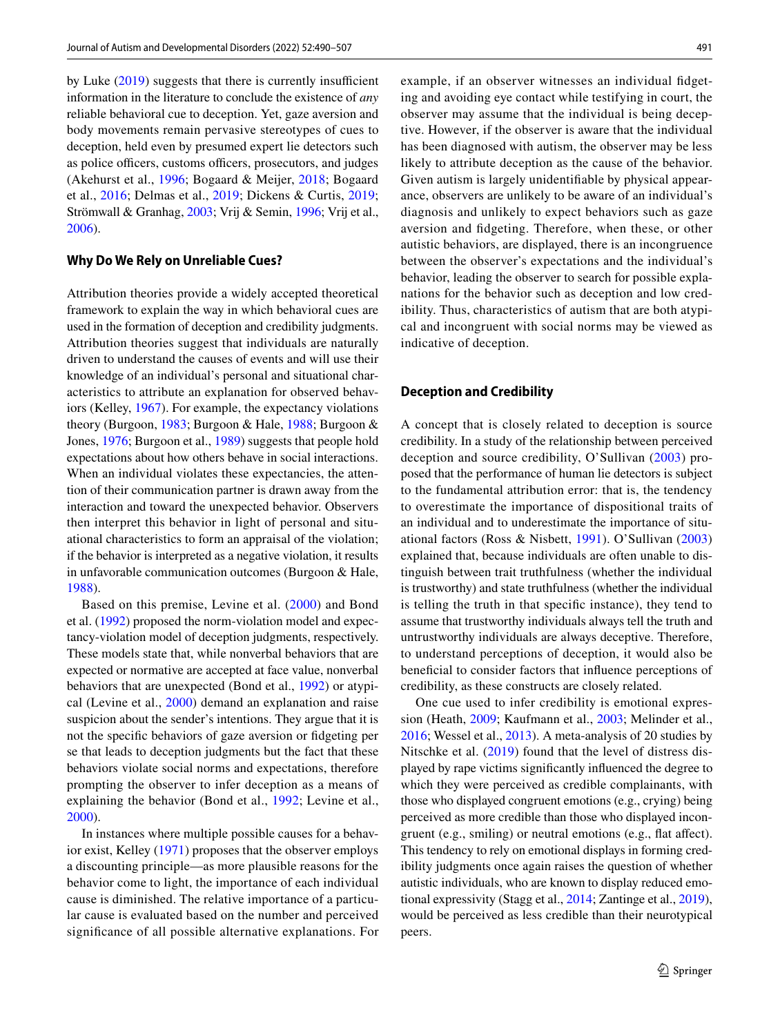by Luke  $(2019)$  $(2019)$  suggests that there is currently insufficient information in the literature to conclude the existence of *any* reliable behavioral cue to deception. Yet, gaze aversion and body movements remain pervasive stereotypes of cues to deception, held even by presumed expert lie detectors such as police officers, customs officers, prosecutors, and judges (Akehurst et al., [1996](#page-14-1); Bogaard & Meijer, [2018;](#page-14-2) Bogaard et al., [2016](#page-14-3); Delmas et al., [2019;](#page-14-4) Dickens & Curtis, [2019](#page-15-6); Strömwall & Granhag, [2003;](#page-16-4) Vrij & Semin, [1996](#page-16-5); Vrij et al., [2006](#page-16-6)).

### **Why Do We Rely on Unreliable Cues?**

Attribution theories provide a widely accepted theoretical framework to explain the way in which behavioral cues are used in the formation of deception and credibility judgments. Attribution theories suggest that individuals are naturally driven to understand the causes of events and will use their knowledge of an individual's personal and situational characteristics to attribute an explanation for observed behaviors (Kelley, [1967](#page-15-7)). For example, the expectancy violations theory (Burgoon, [1983;](#page-14-5) Burgoon & Hale, [1988](#page-14-6); Burgoon & Jones, [1976;](#page-14-7) Burgoon et al., [1989\)](#page-14-8) suggests that people hold expectations about how others behave in social interactions. When an individual violates these expectancies, the attention of their communication partner is drawn away from the interaction and toward the unexpected behavior. Observers then interpret this behavior in light of personal and situational characteristics to form an appraisal of the violation; if the behavior is interpreted as a negative violation, it results in unfavorable communication outcomes (Burgoon & Hale, [1988](#page-14-6)).

Based on this premise, Levine et al. [\(2000](#page-15-8)) and Bond et al. ([1992](#page-14-9)) proposed the norm-violation model and expectancy-violation model of deception judgments, respectively. These models state that, while nonverbal behaviors that are expected or normative are accepted at face value, nonverbal behaviors that are unexpected (Bond et al., [1992](#page-14-9)) or atypical (Levine et al., [2000](#page-15-8)) demand an explanation and raise suspicion about the sender's intentions. They argue that it is not the specifc behaviors of gaze aversion or fdgeting per se that leads to deception judgments but the fact that these behaviors violate social norms and expectations, therefore prompting the observer to infer deception as a means of explaining the behavior (Bond et al., [1992](#page-14-9); Levine et al., [2000](#page-15-8)).

In instances where multiple possible causes for a behavior exist, Kelley ([1971](#page-15-9)) proposes that the observer employs a discounting principle—as more plausible reasons for the behavior come to light, the importance of each individual cause is diminished. The relative importance of a particular cause is evaluated based on the number and perceived signifcance of all possible alternative explanations. For example, if an observer witnesses an individual fdgeting and avoiding eye contact while testifying in court, the observer may assume that the individual is being deceptive. However, if the observer is aware that the individual has been diagnosed with autism, the observer may be less likely to attribute deception as the cause of the behavior. Given autism is largely unidentifable by physical appearance, observers are unlikely to be aware of an individual's diagnosis and unlikely to expect behaviors such as gaze aversion and fdgeting. Therefore, when these, or other autistic behaviors, are displayed, there is an incongruence between the observer's expectations and the individual's behavior, leading the observer to search for possible explanations for the behavior such as deception and low credibility. Thus, characteristics of autism that are both atypical and incongruent with social norms may be viewed as indicative of deception.

### **Deception and Credibility**

A concept that is closely related to deception is source credibility. In a study of the relationship between perceived deception and source credibility, O'Sullivan ([2003](#page-16-7)) proposed that the performance of human lie detectors is subject to the fundamental attribution error: that is, the tendency to overestimate the importance of dispositional traits of an individual and to underestimate the importance of situational factors (Ross & Nisbett, [1991](#page-16-8)). O'Sullivan [\(2003\)](#page-16-7) explained that, because individuals are often unable to distinguish between trait truthfulness (whether the individual is trustworthy) and state truthfulness (whether the individual is telling the truth in that specifc instance), they tend to assume that trustworthy individuals always tell the truth and untrustworthy individuals are always deceptive. Therefore, to understand perceptions of deception, it would also be benefcial to consider factors that infuence perceptions of credibility, as these constructs are closely related.

One cue used to infer credibility is emotional expression (Heath, [2009](#page-15-10); Kaufmann et al., [2003](#page-15-11); Melinder et al., [2016](#page-16-9); Wessel et al., [2013](#page-17-0)). A meta-analysis of 20 studies by Nitschke et al. [\(2019](#page-16-10)) found that the level of distress displayed by rape victims signifcantly infuenced the degree to which they were perceived as credible complainants, with those who displayed congruent emotions (e.g., crying) being perceived as more credible than those who displayed incongruent (e.g., smiling) or neutral emotions (e.g., fat afect). This tendency to rely on emotional displays in forming credibility judgments once again raises the question of whether autistic individuals, who are known to display reduced emotional expressivity (Stagg et al., [2014;](#page-16-11) Zantinge et al., [2019](#page-17-1)), would be perceived as less credible than their neurotypical peers.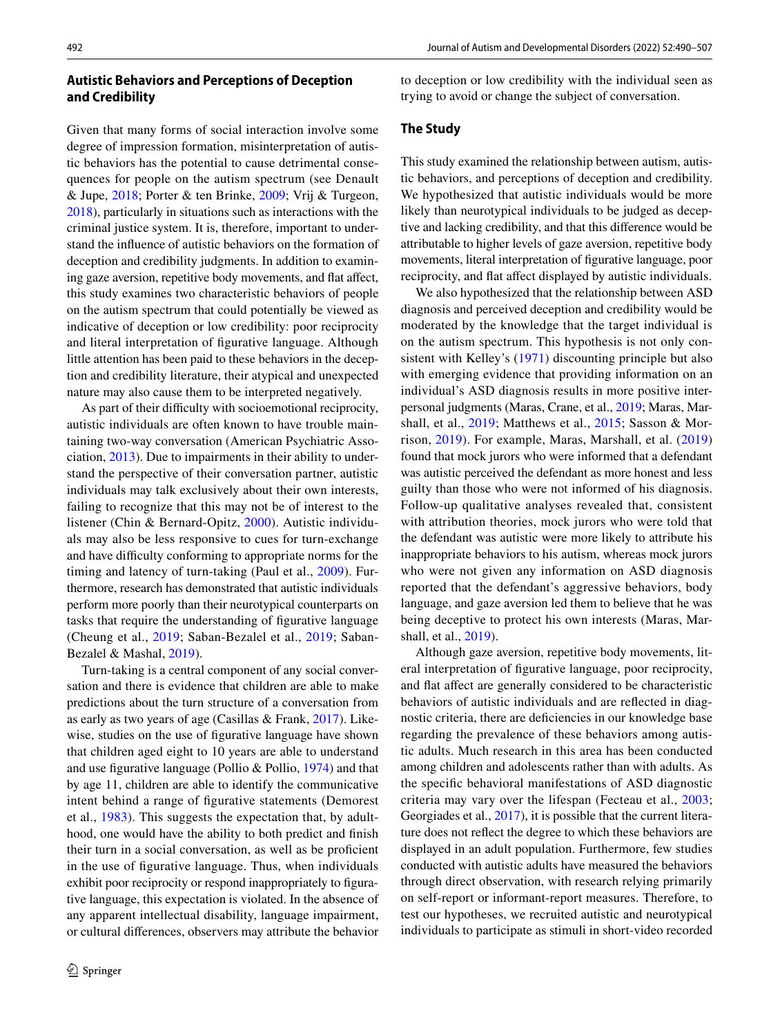Given that many forms of social interaction involve some degree of impression formation, misinterpretation of autistic behaviors has the potential to cause detrimental consequences for people on the autism spectrum (see Denault & Jupe, [2018;](#page-15-12) Porter & ten Brinke, [2009](#page-16-12); Vrij & Turgeon, [2018\)](#page-17-2), particularly in situations such as interactions with the criminal justice system. It is, therefore, important to understand the infuence of autistic behaviors on the formation of deception and credibility judgments. In addition to examining gaze aversion, repetitive body movements, and flat affect, this study examines two characteristic behaviors of people on the autism spectrum that could potentially be viewed as indicative of deception or low credibility: poor reciprocity and literal interpretation of fgurative language. Although little attention has been paid to these behaviors in the deception and credibility literature, their atypical and unexpected nature may also cause them to be interpreted negatively.

As part of their difficulty with socioemotional reciprocity, autistic individuals are often known to have trouble maintaining two-way conversation (American Psychiatric Association, [2013\)](#page-14-10). Due to impairments in their ability to understand the perspective of their conversation partner, autistic individuals may talk exclusively about their own interests, failing to recognize that this may not be of interest to the listener (Chin & Bernard-Opitz, [2000](#page-14-11)). Autistic individuals may also be less responsive to cues for turn-exchange and have difficulty conforming to appropriate norms for the timing and latency of turn-taking (Paul et al., [2009\)](#page-16-13). Furthermore, research has demonstrated that autistic individuals perform more poorly than their neurotypical counterparts on tasks that require the understanding of fgurative language (Cheung et al., [2019](#page-14-12); Saban-Bezalel et al., [2019](#page-16-14); Saban-Bezalel & Mashal, [2019\)](#page-16-15).

Turn-taking is a central component of any social conversation and there is evidence that children are able to make predictions about the turn structure of a conversation from as early as two years of age (Casillas & Frank, [2017](#page-14-13)). Likewise, studies on the use of fgurative language have shown that children aged eight to 10 years are able to understand and use fgurative language (Pollio & Pollio, [1974](#page-16-16)) and that by age 11, children are able to identify the communicative intent behind a range of fgurative statements (Demorest et al., [1983](#page-15-13)). This suggests the expectation that, by adulthood, one would have the ability to both predict and fnish their turn in a social conversation, as well as be profcient in the use of fgurative language. Thus, when individuals exhibit poor reciprocity or respond inappropriately to figurative language, this expectation is violated. In the absence of any apparent intellectual disability, language impairment, or cultural diferences, observers may attribute the behavior to deception or low credibility with the individual seen as trying to avoid or change the subject of conversation.

### **The Study**

This study examined the relationship between autism, autistic behaviors, and perceptions of deception and credibility. We hypothesized that autistic individuals would be more likely than neurotypical individuals to be judged as deceptive and lacking credibility, and that this diference would be attributable to higher levels of gaze aversion, repetitive body movements, literal interpretation of fgurative language, poor reciprocity, and fat afect displayed by autistic individuals.

We also hypothesized that the relationship between ASD diagnosis and perceived deception and credibility would be moderated by the knowledge that the target individual is on the autism spectrum. This hypothesis is not only consistent with Kelley's ([1971](#page-15-9)) discounting principle but also with emerging evidence that providing information on an individual's ASD diagnosis results in more positive interpersonal judgments (Maras, Crane, et al., [2019](#page-15-14); Maras, Marshall, et al., [2019](#page-15-15); Matthews et al., [2015;](#page-16-17) Sasson & Morrison, [2019](#page-16-18)). For example, Maras, Marshall, et al. [\(2019\)](#page-15-15) found that mock jurors who were informed that a defendant was autistic perceived the defendant as more honest and less guilty than those who were not informed of his diagnosis. Follow-up qualitative analyses revealed that, consistent with attribution theories, mock jurors who were told that the defendant was autistic were more likely to attribute his inappropriate behaviors to his autism, whereas mock jurors who were not given any information on ASD diagnosis reported that the defendant's aggressive behaviors, body language, and gaze aversion led them to believe that he was being deceptive to protect his own interests (Maras, Marshall, et al., [2019\)](#page-15-15).

Although gaze aversion, repetitive body movements, literal interpretation of fgurative language, poor reciprocity, and fat afect are generally considered to be characteristic behaviors of autistic individuals and are refected in diagnostic criteria, there are defciencies in our knowledge base regarding the prevalence of these behaviors among autistic adults. Much research in this area has been conducted among children and adolescents rather than with adults. As the specifc behavioral manifestations of ASD diagnostic criteria may vary over the lifespan (Fecteau et al., [2003](#page-15-16); Georgiades et al., [2017\)](#page-15-17), it is possible that the current literature does not refect the degree to which these behaviors are displayed in an adult population. Furthermore, few studies conducted with autistic adults have measured the behaviors through direct observation, with research relying primarily on self-report or informant-report measures. Therefore, to test our hypotheses, we recruited autistic and neurotypical individuals to participate as stimuli in short-video recorded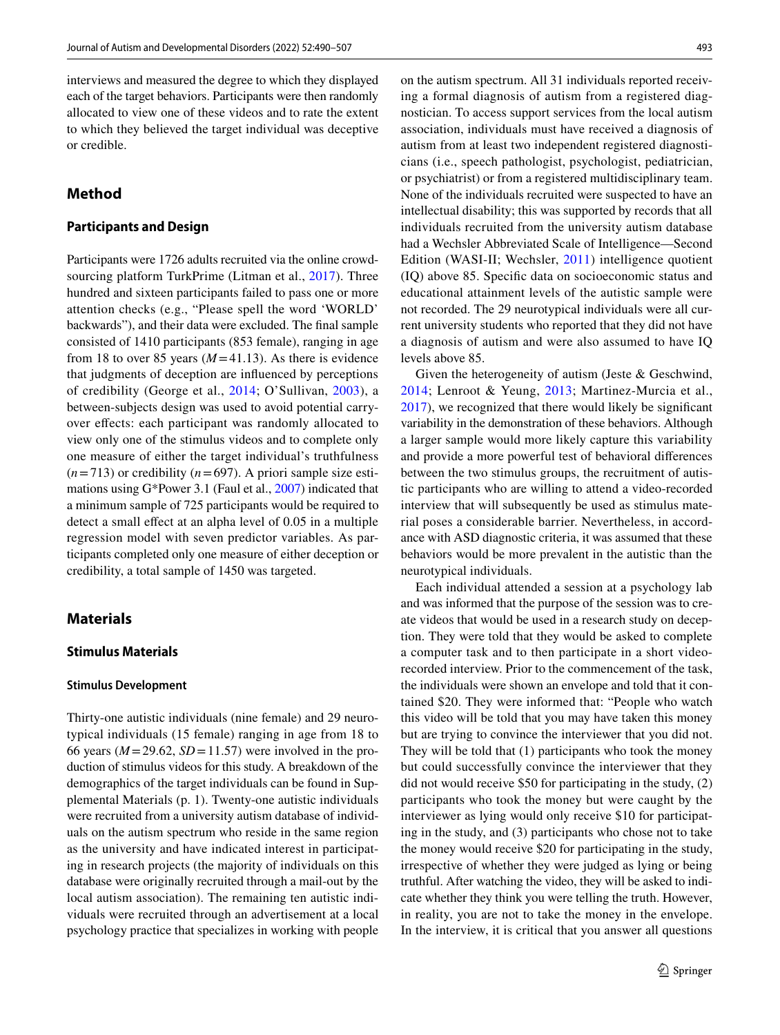interviews and measured the degree to which they displayed each of the target behaviors. Participants were then randomly allocated to view one of these videos and to rate the extent to which they believed the target individual was deceptive or credible.

# **Method**

### **Participants and Design**

Participants were 1726 adults recruited via the online crowd-sourcing platform TurkPrime (Litman et al., [2017](#page-15-18)). Three hundred and sixteen participants failed to pass one or more attention checks (e.g., "Please spell the word 'WORLD' backwards"), and their data were excluded. The fnal sample consisted of 1410 participants (853 female), ranging in age from 18 to over 85 years  $(M=41.13)$ . As there is evidence that judgments of deception are infuenced by perceptions of credibility (George et al., [2014;](#page-15-19) O'Sullivan, [2003](#page-16-7)), a between-subjects design was used to avoid potential carryover efects: each participant was randomly allocated to view only one of the stimulus videos and to complete only one measure of either the target individual's truthfulness  $(n=713)$  or credibility ( $n=697$ ). A priori sample size estimations using G\*Power 3.1 (Faul et al., [2007\)](#page-15-20) indicated that a minimum sample of 725 participants would be required to detect a small efect at an alpha level of 0.05 in a multiple regression model with seven predictor variables. As participants completed only one measure of either deception or credibility, a total sample of 1450 was targeted.

### **Materials**

#### **Stimulus Materials**

#### **Stimulus Development**

Thirty-one autistic individuals (nine female) and 29 neurotypical individuals (15 female) ranging in age from 18 to 66 years  $(M=29.62, SD=11.57)$  were involved in the production of stimulus videos for this study. A breakdown of the demographics of the target individuals can be found in Supplemental Materials (p. 1). Twenty-one autistic individuals were recruited from a university autism database of individuals on the autism spectrum who reside in the same region as the university and have indicated interest in participating in research projects (the majority of individuals on this database were originally recruited through a mail-out by the local autism association). The remaining ten autistic individuals were recruited through an advertisement at a local psychology practice that specializes in working with people on the autism spectrum. All 31 individuals reported receiving a formal diagnosis of autism from a registered diagnostician. To access support services from the local autism association, individuals must have received a diagnosis of autism from at least two independent registered diagnosticians (i.e., speech pathologist, psychologist, pediatrician, or psychiatrist) or from a registered multidisciplinary team. None of the individuals recruited were suspected to have an intellectual disability; this was supported by records that all individuals recruited from the university autism database had a Wechsler Abbreviated Scale of Intelligence—Second Edition (WASI-II; Wechsler, [2011](#page-17-3)) intelligence quotient (IQ) above 85. Specifc data on socioeconomic status and educational attainment levels of the autistic sample were not recorded. The 29 neurotypical individuals were all current university students who reported that they did not have a diagnosis of autism and were also assumed to have IQ levels above 85.

Given the heterogeneity of autism (Jeste & Geschwind, [2014](#page-15-21); Lenroot & Yeung, [2013](#page-15-22); Martinez-Murcia et al., [2017](#page-16-19)), we recognized that there would likely be signifcant variability in the demonstration of these behaviors. Although a larger sample would more likely capture this variability and provide a more powerful test of behavioral diferences between the two stimulus groups, the recruitment of autistic participants who are willing to attend a video-recorded interview that will subsequently be used as stimulus material poses a considerable barrier. Nevertheless, in accordance with ASD diagnostic criteria, it was assumed that these behaviors would be more prevalent in the autistic than the neurotypical individuals.

Each individual attended a session at a psychology lab and was informed that the purpose of the session was to create videos that would be used in a research study on deception. They were told that they would be asked to complete a computer task and to then participate in a short videorecorded interview. Prior to the commencement of the task, the individuals were shown an envelope and told that it contained \$20. They were informed that: "People who watch this video will be told that you may have taken this money but are trying to convince the interviewer that you did not. They will be told that (1) participants who took the money but could successfully convince the interviewer that they did not would receive \$50 for participating in the study, (2) participants who took the money but were caught by the interviewer as lying would only receive \$10 for participating in the study, and (3) participants who chose not to take the money would receive \$20 for participating in the study, irrespective of whether they were judged as lying or being truthful. After watching the video, they will be asked to indicate whether they think you were telling the truth. However, in reality, you are not to take the money in the envelope. In the interview, it is critical that you answer all questions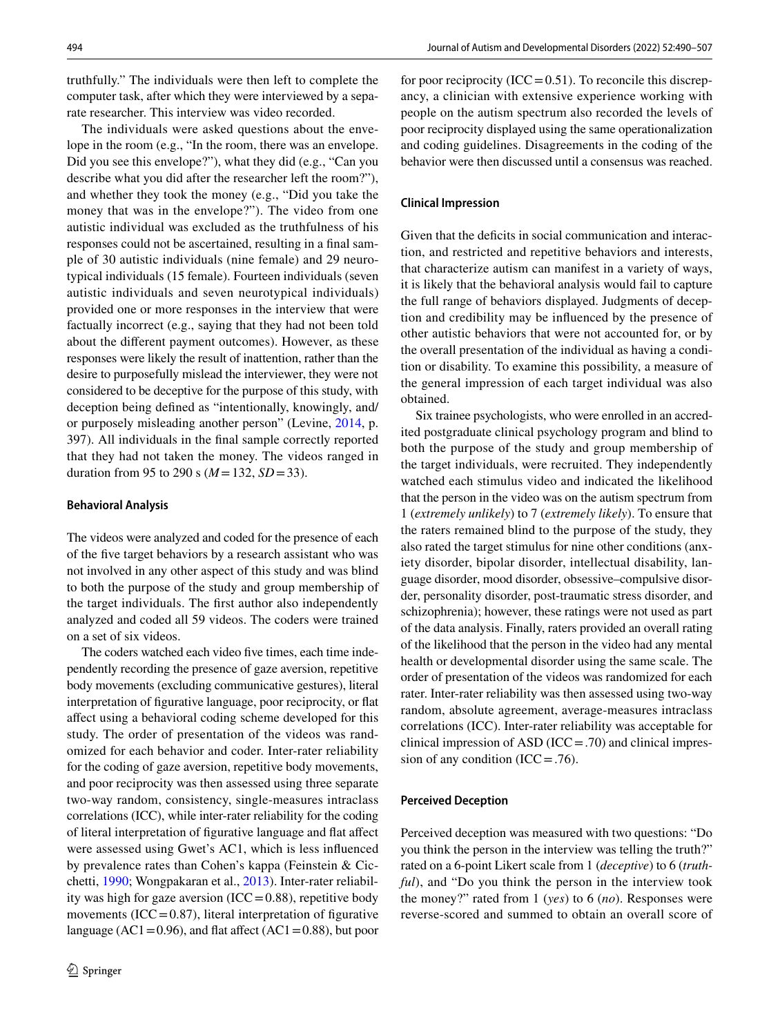truthfully." The individuals were then left to complete the computer task, after which they were interviewed by a separate researcher. This interview was video recorded.

The individuals were asked questions about the envelope in the room (e.g., "In the room, there was an envelope. Did you see this envelope?"), what they did (e.g., "Can you describe what you did after the researcher left the room?"), and whether they took the money (e.g., "Did you take the money that was in the envelope?"). The video from one autistic individual was excluded as the truthfulness of his responses could not be ascertained, resulting in a fnal sample of 30 autistic individuals (nine female) and 29 neurotypical individuals (15 female). Fourteen individuals (seven autistic individuals and seven neurotypical individuals) provided one or more responses in the interview that were factually incorrect (e.g., saying that they had not been told about the diferent payment outcomes). However, as these responses were likely the result of inattention, rather than the desire to purposefully mislead the interviewer, they were not considered to be deceptive for the purpose of this study, with deception being defned as "intentionally, knowingly, and/ or purposely misleading another person" (Levine, [2014](#page-15-23), p. 397). All individuals in the fnal sample correctly reported that they had not taken the money. The videos ranged in duration from 95 to 290 s  $(M = 132, SD = 33)$ .

### **Behavioral Analysis**

The videos were analyzed and coded for the presence of each of the fve target behaviors by a research assistant who was not involved in any other aspect of this study and was blind to both the purpose of the study and group membership of the target individuals. The frst author also independently analyzed and coded all 59 videos. The coders were trained on a set of six videos.

The coders watched each video fve times, each time independently recording the presence of gaze aversion, repetitive body movements (excluding communicative gestures), literal interpretation of fgurative language, poor reciprocity, or fat afect using a behavioral coding scheme developed for this study. The order of presentation of the videos was randomized for each behavior and coder. Inter-rater reliability for the coding of gaze aversion, repetitive body movements, and poor reciprocity was then assessed using three separate two-way random, consistency, single-measures intraclass correlations (ICC), while inter-rater reliability for the coding of literal interpretation of fgurative language and fat afect were assessed using Gwet's AC1, which is less infuenced by prevalence rates than Cohen's kappa (Feinstein & Cicchetti, [1990](#page-15-24); Wongpakaran et al., [2013\)](#page-17-4). Inter-rater reliability was high for gaze aversion  $(ICC=0.88)$ , repetitive body movements (ICC= $0.87$ ), literal interpretation of figurative language (AC1=0.96), and flat affect (AC1=0.88), but poor for poor reciprocity (ICC =  $0.51$ ). To reconcile this discrepancy, a clinician with extensive experience working with people on the autism spectrum also recorded the levels of poor reciprocity displayed using the same operationalization and coding guidelines. Disagreements in the coding of the behavior were then discussed until a consensus was reached.

### **Clinical Impression**

Given that the deficits in social communication and interaction, and restricted and repetitive behaviors and interests, that characterize autism can manifest in a variety of ways, it is likely that the behavioral analysis would fail to capture the full range of behaviors displayed. Judgments of deception and credibility may be infuenced by the presence of other autistic behaviors that were not accounted for, or by the overall presentation of the individual as having a condition or disability. To examine this possibility, a measure of the general impression of each target individual was also obtained.

Six trainee psychologists, who were enrolled in an accredited postgraduate clinical psychology program and blind to both the purpose of the study and group membership of the target individuals, were recruited. They independently watched each stimulus video and indicated the likelihood that the person in the video was on the autism spectrum from 1 (*extremely unlikely*) to 7 (*extremely likely*). To ensure that the raters remained blind to the purpose of the study, they also rated the target stimulus for nine other conditions (anxiety disorder, bipolar disorder, intellectual disability, language disorder, mood disorder, obsessive–compulsive disorder, personality disorder, post-traumatic stress disorder, and schizophrenia); however, these ratings were not used as part of the data analysis. Finally, raters provided an overall rating of the likelihood that the person in the video had any mental health or developmental disorder using the same scale. The order of presentation of the videos was randomized for each rater. Inter-rater reliability was then assessed using two-way random, absolute agreement, average-measures intraclass correlations (ICC). Inter-rater reliability was acceptable for clinical impression of ASD  $(ICC=.70)$  and clinical impression of any condition  $(ICC = .76)$ .

#### **Perceived Deception**

Perceived deception was measured with two questions: "Do you think the person in the interview was telling the truth?" rated on a 6-point Likert scale from 1 (*deceptive*) to 6 (*truthful*), and "Do you think the person in the interview took the money?" rated from 1 (*yes*) to 6 (*no*). Responses were reverse-scored and summed to obtain an overall score of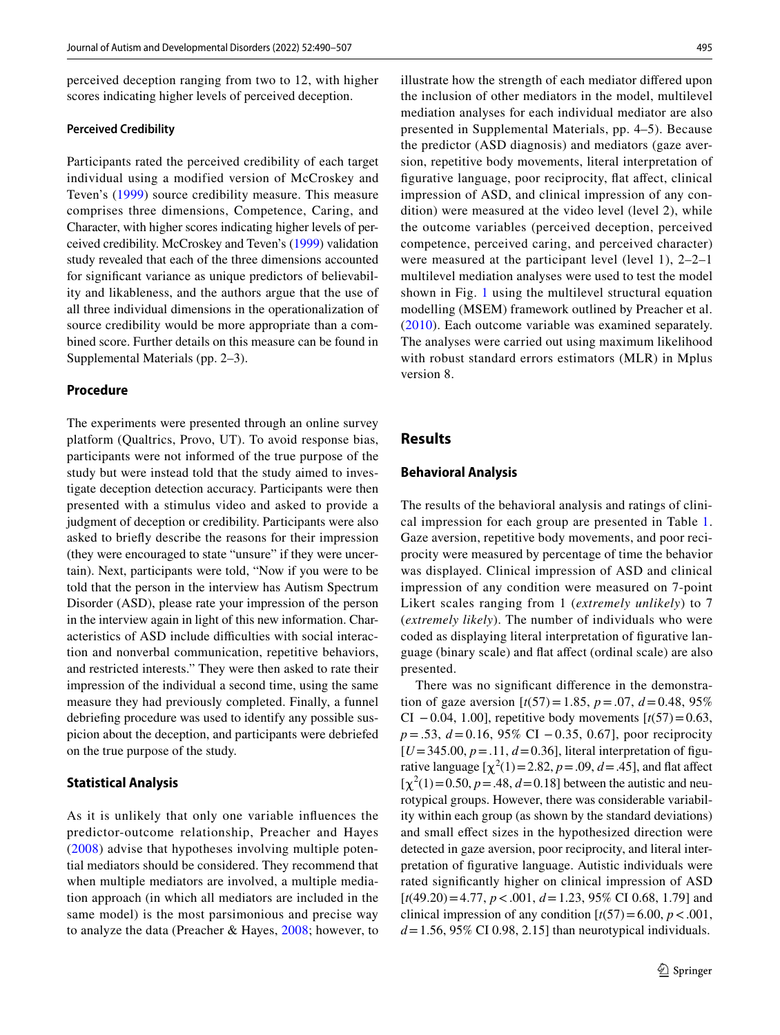perceived deception ranging from two to 12, with higher scores indicating higher levels of perceived deception.

#### **Perceived Credibility**

Participants rated the perceived credibility of each target individual using a modified version of McCroskey and Teven's [\(1999](#page-16-20)) source credibility measure. This measure comprises three dimensions, Competence, Caring, and Character, with higher scores indicating higher levels of perceived credibility. McCroskey and Teven's [\(1999](#page-16-20)) validation study revealed that each of the three dimensions accounted for signifcant variance as unique predictors of believability and likableness, and the authors argue that the use of all three individual dimensions in the operationalization of source credibility would be more appropriate than a combined score. Further details on this measure can be found in Supplemental Materials (pp. 2–3).

### **Procedure**

The experiments were presented through an online survey platform (Qualtrics, Provo, UT). To avoid response bias, participants were not informed of the true purpose of the study but were instead told that the study aimed to investigate deception detection accuracy. Participants were then presented with a stimulus video and asked to provide a judgment of deception or credibility. Participants were also asked to briefy describe the reasons for their impression (they were encouraged to state "unsure" if they were uncertain). Next, participants were told, "Now if you were to be told that the person in the interview has Autism Spectrum Disorder (ASD), please rate your impression of the person in the interview again in light of this new information. Characteristics of ASD include difficulties with social interaction and nonverbal communication, repetitive behaviors, and restricted interests." They were then asked to rate their impression of the individual a second time, using the same measure they had previously completed. Finally, a funnel debriefng procedure was used to identify any possible suspicion about the deception, and participants were debriefed on the true purpose of the study.

### **Statistical Analysis**

As it is unlikely that only one variable infuences the predictor-outcome relationship, Preacher and Hayes ([2008\)](#page-16-21) advise that hypotheses involving multiple potential mediators should be considered. They recommend that when multiple mediators are involved, a multiple mediation approach (in which all mediators are included in the same model) is the most parsimonious and precise way to analyze the data (Preacher & Hayes, [2008;](#page-16-21) however, to illustrate how the strength of each mediator difered upon the inclusion of other mediators in the model, multilevel mediation analyses for each individual mediator are also presented in Supplemental Materials, pp. 4–5). Because the predictor (ASD diagnosis) and mediators (gaze aversion, repetitive body movements, literal interpretation of fgurative language, poor reciprocity, fat afect, clinical impression of ASD, and clinical impression of any condition) were measured at the video level (level 2), while the outcome variables (perceived deception, perceived competence, perceived caring, and perceived character) were measured at the participant level (level 1), 2–2–1 multilevel mediation analyses were used to test the model shown in Fig. [1](#page-6-0) using the multilevel structural equation modelling (MSEM) framework outlined by Preacher et al. ([2010](#page-16-22)). Each outcome variable was examined separately. The analyses were carried out using maximum likelihood with robust standard errors estimators (MLR) in Mplus version 8.

### **Results**

### **Behavioral Analysis**

The results of the behavioral analysis and ratings of clinical impression for each group are presented in Table [1.](#page-6-1) Gaze aversion, repetitive body movements, and poor reciprocity were measured by percentage of time the behavior was displayed. Clinical impression of ASD and clinical impression of any condition were measured on 7-point Likert scales ranging from 1 (*extremely unlikely*) to 7 (*extremely likely*). The number of individuals who were coded as displaying literal interpretation of fgurative language (binary scale) and fat afect (ordinal scale) are also presented.

There was no signifcant diference in the demonstration of gaze aversion  $[t(57)=1.85, p=.07, d=0.48, 95%$ CI −0.04, 1.00], repetitive body movements  $[t(57)=0.63,$ *p*=.53, *d*=0.16, 95% CI −0.35, 0.67], poor reciprocity  $[U=345.00, p=.11, d=0.36]$ , literal interpretation of figurative language  $[\chi^2(1) = 2.82, p = .09, d = .45]$ , and flat affect  $[\chi^2(1) = 0.50, p = .48, d = 0.18]$  between the autistic and neurotypical groups. However, there was considerable variability within each group (as shown by the standard deviations) and small efect sizes in the hypothesized direction were detected in gaze aversion, poor reciprocity, and literal interpretation of fgurative language. Autistic individuals were rated signifcantly higher on clinical impression of ASD [*t*(49.20)=4.77, *p*<.001, *d*=1.23, 95% CI 0.68, 1.79] and clinical impression of any condition  $[t(57)=6.00, p < .001,$  $d=1.56$ , 95% CI 0.98, 2.15] than neurotypical individuals.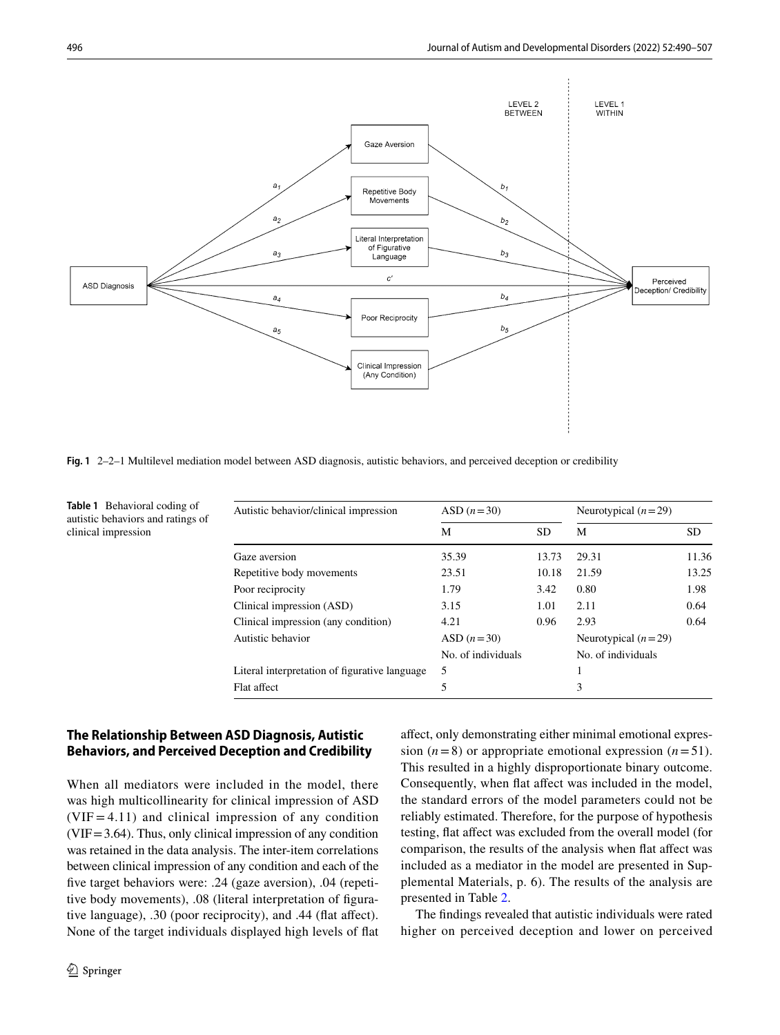

<span id="page-6-0"></span>**Fig. 1** 2–2–1 Multilevel mediation model between ASD diagnosis, autistic behaviors, and perceived deception or credibility

| Autistic behavior/clinical impression         | ASD $(n=30)$       |           | Neurotypical $(n=29)$ |           |  |
|-----------------------------------------------|--------------------|-----------|-----------------------|-----------|--|
|                                               | М                  | <b>SD</b> | М                     | <b>SD</b> |  |
| Gaze aversion                                 | 35.39              | 13.73     | 29.31                 | 11.36     |  |
| Repetitive body movements                     | 23.51              | 10.18     | 21.59                 | 13.25     |  |
| Poor reciprocity                              | 1.79               | 3.42      | 0.80                  | 1.98      |  |
| Clinical impression (ASD)                     | 3.15               | 1.01      | 2.11                  | 0.64      |  |
| Clinical impression (any condition)           | 4.21               | 0.96      | 2.93                  | 0.64      |  |
| Autistic behavior                             | ASD $(n=30)$       |           | Neurotypical $(n=29)$ |           |  |
|                                               | No. of individuals |           | No. of individuals    |           |  |
| Literal interpretation of figurative language | 5                  |           |                       |           |  |
| Flat affect                                   | 5                  |           | 3                     |           |  |

<span id="page-6-1"></span>**Table 1** Behavioral coding of autistic behaviors and ratings of clinical impression

# **The Relationship Between ASD Diagnosis, Autistic Behaviors, and Perceived Deception and Credibility**

When all mediators were included in the model, there was high multicollinearity for clinical impression of ASD  $(VIF = 4.11)$  and clinical impression of any condition  $(VIF = 3.64)$ . Thus, only clinical impression of any condition was retained in the data analysis. The inter-item correlations between clinical impression of any condition and each of the fve target behaviors were: .24 (gaze aversion), .04 (repetitive body movements), .08 (literal interpretation of fgurative language), .30 (poor reciprocity), and .44 (fat afect). None of the target individuals displayed high levels of fat afect, only demonstrating either minimal emotional expression  $(n=8)$  or appropriate emotional expression  $(n=51)$ . This resulted in a highly disproportionate binary outcome. Consequently, when flat affect was included in the model, the standard errors of the model parameters could not be reliably estimated. Therefore, for the purpose of hypothesis testing, fat afect was excluded from the overall model (for comparison, the results of the analysis when fat afect was included as a mediator in the model are presented in Supplemental Materials, p. 6). The results of the analysis are presented in Table [2.](#page-7-0)

The fndings revealed that autistic individuals were rated higher on perceived deception and lower on perceived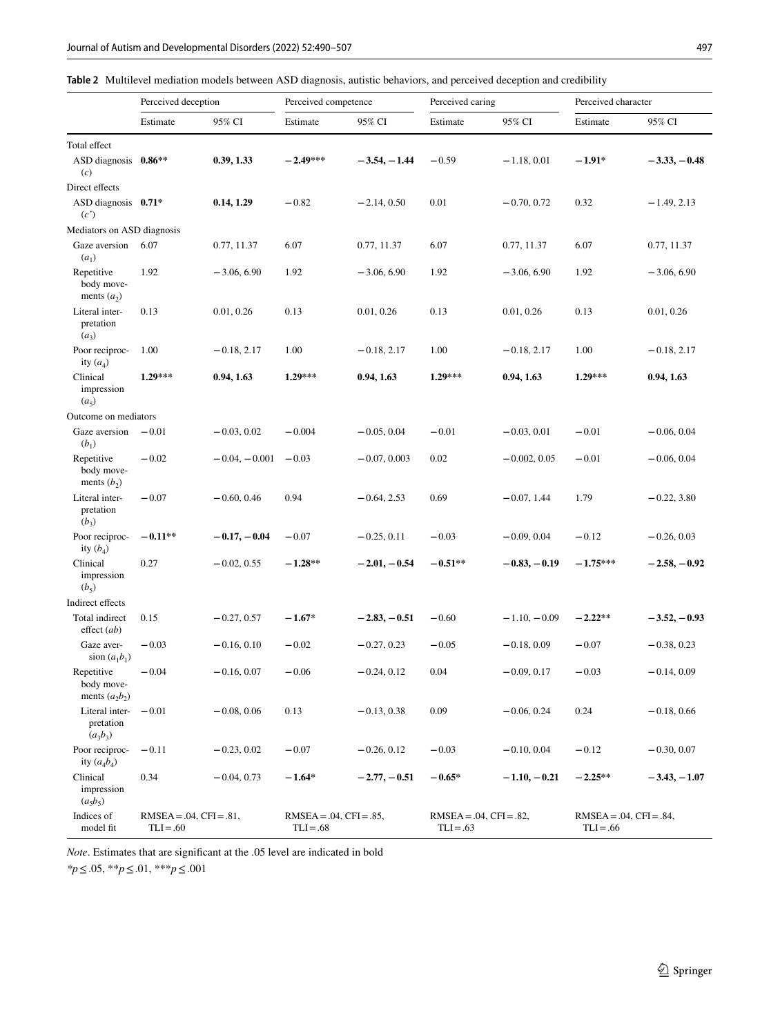<span id="page-7-0"></span>

| Table 2 Multilevel mediation models between ASD diagnosis, autistic behaviors, and perceived deception and credibility |  |
|------------------------------------------------------------------------------------------------------------------------|--|
|------------------------------------------------------------------------------------------------------------------------|--|

|                                              | Perceived deception                          |                 | Perceived competence                         |                | Perceived caring                             |                | Perceived character                          |                |
|----------------------------------------------|----------------------------------------------|-----------------|----------------------------------------------|----------------|----------------------------------------------|----------------|----------------------------------------------|----------------|
|                                              | Estimate                                     | 95% CI          | Estimate                                     | 95% CI         | Estimate                                     | 95% CI         | Estimate                                     | 95% CI         |
| Total effect                                 |                                              |                 |                                              |                |                                              |                |                                              |                |
| ASD diagnosis 0.86**<br>(c)                  |                                              | 0.39, 1.33      | $-2.49***$                                   | $-3.54, -1.44$ | $-0.59$                                      | $-1.18, 0.01$  | $-1.91*$                                     | $-3.33, -0.48$ |
| Direct effects                               |                                              |                 |                                              |                |                                              |                |                                              |                |
| ASD diagnosis 0.71*<br>(c')                  |                                              | 0.14, 1.29      | $-0.82$                                      | $-2.14, 0.50$  | 0.01                                         | $-0.70, 0.72$  | 0.32                                         | $-1.49, 2.13$  |
| Mediators on ASD diagnosis                   |                                              |                 |                                              |                |                                              |                |                                              |                |
| Gaze aversion<br>$(a_1)$                     | 6.07                                         | 0.77, 11.37     | 6.07                                         | 0.77, 11.37    | 6.07                                         | 0.77, 11.37    | 6.07                                         | 0.77, 11.37    |
| Repetitive<br>body move-<br>ments $(a_2)$    | 1.92                                         | $-3.06, 6.90$   | 1.92                                         | $-3.06, 6.90$  | 1.92                                         | $-3.06, 6.90$  | 1.92                                         | $-3.06, 6.90$  |
| Literal inter-<br>pretation<br>$(a_3)$       | 0.13                                         | 0.01, 0.26      | 0.13                                         | 0.01, 0.26     | 0.13                                         | 0.01, 0.26     | 0.13                                         | 0.01, 0.26     |
| Poor reciproc-<br>ity $(a_4)$                | 1.00                                         | $-0.18, 2.17$   | 1.00                                         | $-0.18, 2.17$  | 1.00                                         | $-0.18, 2.17$  | 1.00                                         | $-0.18, 2.17$  |
| Clinical<br>impression<br>(a <sub>5</sub> )  | $1.29***$                                    | 0.94, 1.63      | $1.29***$                                    | 0.94, 1.63     | 1.29***                                      | 0.94, 1.63     | $1.29***$                                    | 0.94, 1.63     |
| Outcome on mediators                         |                                              |                 |                                              |                |                                              |                |                                              |                |
| Gaze aversion<br>$(b_1)$                     | $-0.01$                                      | $-0.03, 0.02$   | $-0.004$                                     | $-0.05, 0.04$  | $-0.01$                                      | $-0.03, 0.01$  | $-0.01$                                      | $-0.06, 0.04$  |
| Repetitive<br>body move-<br>ments $(b_2)$    | $-0.02$                                      | $-0.04, -0.001$ | $-0.03$                                      | $-0.07, 0.003$ | 0.02                                         | $-0.002, 0.05$ | $-0.01$                                      | $-0.06, 0.04$  |
| Literal inter-<br>pretation<br>$(b_3)$       | $-0.07$                                      | $-0.60, 0.46$   | 0.94                                         | $-0.64, 2.53$  | 0.69                                         | $-0.07, 1.44$  | 1.79                                         | $-0.22, 3.80$  |
| Poor reciproc-<br>ity $(b_4)$                | $-0.11**$                                    | $-0.17, -0.04$  | $-0.07$                                      | $-0.25, 0.11$  | $-0.03$                                      | $-0.09, 0.04$  | $-0.12$                                      | $-0.26, 0.03$  |
| Clinical<br>impression<br>$(b_5)$            | 0.27                                         | $-0.02, 0.55$   | $-1.28**$                                    | $-2.01, -0.54$ | $-0.51**$                                    | $-0.83, -0.19$ | $-1.75***$                                   | $-2.58, -0.92$ |
| Indirect effects                             |                                              |                 |                                              |                |                                              |                |                                              |                |
| Total indirect<br>effect (ab)                | 0.15                                         | $-0.27, 0.57$   | $-1.67*$                                     | $-2.83, -0.51$ | $-0.60$                                      | $-1.10, -0.09$ | $-2.22**$                                    | $-3.52, -0.93$ |
| Gaze aver-<br>sion $(a_1b_1)$                | $-0.03$                                      | $-0.16, 0.10$   | $-0.02$                                      | $-0.27, 0.23$  | $-0.05$                                      | $-0.18, 0.09$  | $-0.07$                                      | $-0.38, 0.23$  |
| Repetitive<br>body move-<br>ments $(a_2b_2)$ | $-0.04$                                      | $-0.16, 0.07$   | $-0.06$                                      | $-0.24, 0.12$  | 0.04                                         | $-0.09, 0.17$  | $-0.03$                                      | $-0.14, 0.09$  |
| Literal inter-<br>pretation<br>$(a_3b_3)$    | $-0.01$                                      | $-0.08, 0.06$   | 0.13                                         | $-0.13, 0.38$  | 0.09                                         | $-0.06, 0.24$  | 0.24                                         | $-0.18, 0.66$  |
| Poor reciproc-<br>ity $(a_4b_4)$             | $-0.11$                                      | $-0.23, 0.02$   | $-0.07$                                      | $-0.26, 0.12$  | $-0.03$                                      | $-0.10, 0.04$  | $-0.12$                                      | $-0.30, 0.07$  |
| Clinical<br>impression<br>$(a_5b_5)$         | 0.34                                         | $-0.04, 0.73$   | $-1.64*$                                     | $-2.77, -0.51$ | $-0.65*$                                     | $-1.10, -0.21$ | $-2.25**$                                    | $-3.43, -1.07$ |
| Indices of<br>model fit                      | $RMSEA = .04$ , $CFI = .81$ ,<br>$TLI = .60$ |                 | $RMSEA = .04$ , $CFI = .85$ ,<br>$TLI = .68$ |                | $RMSEA = .04$ , $CFI = .82$ ,<br>$TLI = .63$ |                | $RMSEA = .04$ , $CFI = .84$ ,<br>$TLI = .66$ |                |

*Note*. Estimates that are signifcant at the .05 level are indicated in bold

*\*p*≤.05, \*\**p*≤.01, \*\*\**p*≤.001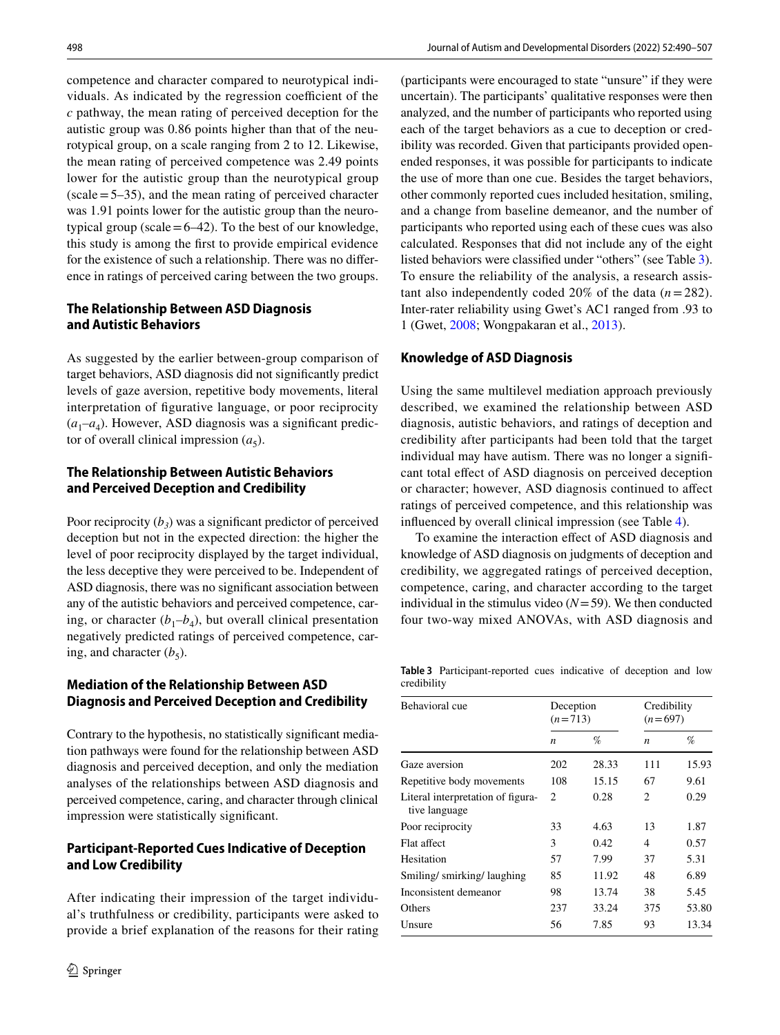competence and character compared to neurotypical individuals. As indicated by the regression coefficient of the *c* pathway, the mean rating of perceived deception for the autistic group was 0.86 points higher than that of the neurotypical group, on a scale ranging from 2 to 12. Likewise, the mean rating of perceived competence was 2.49 points lower for the autistic group than the neurotypical group  $(scale = 5-35)$ , and the mean rating of perceived character was 1.91 points lower for the autistic group than the neurotypical group (scale  $=6-42$ ). To the best of our knowledge, this study is among the frst to provide empirical evidence for the existence of such a relationship. There was no diference in ratings of perceived caring between the two groups.

# **The Relationship Between ASD Diagnosis and Autistic Behaviors**

As suggested by the earlier between-group comparison of target behaviors, ASD diagnosis did not signifcantly predict levels of gaze aversion, repetitive body movements, literal interpretation of fgurative language, or poor reciprocity  $(a_1-a_4)$ . However, ASD diagnosis was a significant predictor of overall clinical impression  $(a_5)$ .

# **The Relationship Between Autistic Behaviors and Perceived Deception and Credibility**

Poor reciprocity  $(b_3)$  was a significant predictor of perceived deception but not in the expected direction: the higher the level of poor reciprocity displayed by the target individual, the less deceptive they were perceived to be. Independent of ASD diagnosis, there was no signifcant association between any of the autistic behaviors and perceived competence, caring, or character  $(b_1-b_4)$ , but overall clinical presentation negatively predicted ratings of perceived competence, caring, and character  $(b_5)$ .

# **Mediation of the Relationship Between ASD Diagnosis and Perceived Deception and Credibility**

Contrary to the hypothesis, no statistically signifcant mediation pathways were found for the relationship between ASD diagnosis and perceived deception, and only the mediation analyses of the relationships between ASD diagnosis and perceived competence, caring, and character through clinical impression were statistically signifcant.

# **Participant‑Reported Cues Indicative of Deception and Low Credibility**

After indicating their impression of the target individual's truthfulness or credibility, participants were asked to provide a brief explanation of the reasons for their rating (participants were encouraged to state "unsure" if they were uncertain). The participants' qualitative responses were then analyzed, and the number of participants who reported using each of the target behaviors as a cue to deception or credibility was recorded. Given that participants provided openended responses, it was possible for participants to indicate the use of more than one cue. Besides the target behaviors, other commonly reported cues included hesitation, smiling, and a change from baseline demeanor, and the number of participants who reported using each of these cues was also calculated. Responses that did not include any of the eight listed behaviors were classifed under "others" (see Table [3](#page-8-0)). To ensure the reliability of the analysis, a research assistant also independently coded 20% of the data  $(n=282)$ . Inter-rater reliability using Gwet's AC1 ranged from .93 to 1 (Gwet, [2008;](#page-15-25) Wongpakaran et al., [2013](#page-17-4)).

# **Knowledge of ASD Diagnosis**

Using the same multilevel mediation approach previously described, we examined the relationship between ASD diagnosis, autistic behaviors, and ratings of deception and credibility after participants had been told that the target individual may have autism. There was no longer a signifcant total efect of ASD diagnosis on perceived deception or character; however, ASD diagnosis continued to afect ratings of perceived competence, and this relationship was infuenced by overall clinical impression (see Table [4\)](#page-9-0).

To examine the interaction efect of ASD diagnosis and knowledge of ASD diagnosis on judgments of deception and credibility, we aggregated ratings of perceived deception, competence, caring, and character according to the target individual in the stimulus video  $(N=59)$ . We then conducted four two-way mixed ANOVAs, with ASD diagnosis and

<span id="page-8-0"></span>**Table 3** Participant-reported cues indicative of deception and low credibility

| Behavioral cue                                     | Deception<br>$(n=713)$ |       | Credibility<br>$(n=697)$ |       |  |
|----------------------------------------------------|------------------------|-------|--------------------------|-------|--|
|                                                    | $\boldsymbol{n}$       | $\%$  | $\boldsymbol{n}$         | %     |  |
| Gaze aversion                                      | 202                    | 28.33 | 111                      | 15.93 |  |
| Repetitive body movements                          | 108                    | 15.15 | 67                       | 9.61  |  |
| Literal interpretation of figura-<br>tive language | 2                      | 0.28  | 2                        | 0.29  |  |
| Poor reciprocity                                   | 33                     | 4.63  | 13                       | 1.87  |  |
| Flat affect                                        | 3                      | 0.42  | 4                        | 0.57  |  |
| Hesitation                                         | 57                     | 7.99  | 37                       | 5.31  |  |
| Smiling/smirking/laughing                          | 85                     | 11.92 | 48                       | 6.89  |  |
| Inconsistent demeanor                              | 98                     | 13.74 | 38                       | 5.45  |  |
| Others                                             | 237                    | 33.24 | 375                      | 53.80 |  |
| Unsure                                             | 56                     | 7.85  | 93                       | 13.34 |  |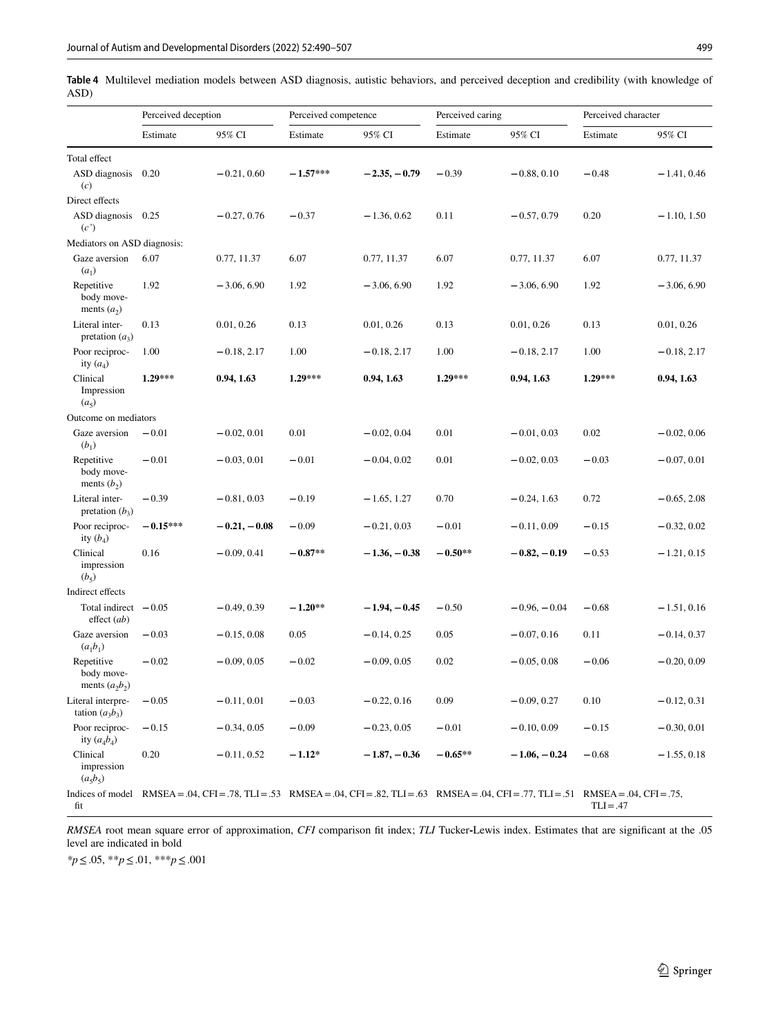<span id="page-9-0"></span>**Table 4** Multilevel mediation models between ASD diagnosis, autistic behaviors, and perceived deception and credibility (with knowledge of ASD)

|                                              | Perceived deception |                | Perceived competence                                                                                                                           |                | Perceived caring |                | Perceived character |               |
|----------------------------------------------|---------------------|----------------|------------------------------------------------------------------------------------------------------------------------------------------------|----------------|------------------|----------------|---------------------|---------------|
|                                              | Estimate            | 95% CI         | Estimate                                                                                                                                       | 95% CI         | Estimate         | 95% CI         | Estimate            | 95% CI        |
| Total effect                                 |                     |                |                                                                                                                                                |                |                  |                |                     |               |
| ASD diagnosis<br>(c)                         | 0.20                | $-0.21, 0.60$  | $-1.57***$                                                                                                                                     | $-2.35, -0.79$ | $-0.39$          | $-0.88, 0.10$  | $-0.48$             | $-1.41, 0.46$ |
| Direct effects                               |                     |                |                                                                                                                                                |                |                  |                |                     |               |
| ASD diagnosis 0.25<br>(c')                   |                     | $-0.27, 0.76$  | $-0.37$                                                                                                                                        | $-1.36, 0.62$  | 0.11             | $-0.57, 0.79$  | 0.20                | $-1.10, 1.50$ |
| Mediators on ASD diagnosis:                  |                     |                |                                                                                                                                                |                |                  |                |                     |               |
| Gaze aversion<br>$(a_1)$                     | 6.07                | 0.77, 11.37    | 6.07                                                                                                                                           | 0.77, 11.37    | 6.07             | 0.77, 11.37    | 6.07                | 0.77, 11.37   |
| Repetitive<br>body move-<br>ments $(a_2)$    | 1.92                | $-3.06, 6.90$  | 1.92                                                                                                                                           | $-3.06, 6.90$  | 1.92             | $-3.06, 6.90$  | 1.92                | $-3.06, 6.90$ |
| Literal inter-<br>pretation $(a_3)$          | 0.13                | 0.01, 0.26     | 0.13                                                                                                                                           | 0.01, 0.26     | 0.13             | 0.01, 0.26     | 0.13                | 0.01, 0.26    |
| Poor reciproc-<br>ity $(a_4)$                | 1.00                | $-0.18, 2.17$  | 1.00                                                                                                                                           | $-0.18, 2.17$  | 1.00             | $-0.18, 2.17$  | 1.00                | $-0.18, 2.17$ |
| Clinical<br>Impression<br>$(a_5)$            | $1.29***$           | 0.94, 1.63     | $1.29***$                                                                                                                                      | 0.94, 1.63     | 1.29***          | 0.94, 1.63     | $1.29***$           | 0.94, 1.63    |
| Outcome on mediators                         |                     |                |                                                                                                                                                |                |                  |                |                     |               |
| Gaze aversion<br>$(b_1)$                     | $-0.01$             | $-0.02, 0.01$  | 0.01                                                                                                                                           | $-0.02, 0.04$  | 0.01             | $-0.01, 0.03$  | 0.02                | $-0.02, 0.06$ |
| Repetitive<br>body move-<br>ments $(b_2)$    | $-0.01$             | $-0.03, 0.01$  | $-0.01$                                                                                                                                        | $-0.04, 0.02$  | 0.01             | $-0.02, 0.03$  | $-0.03$             | $-0.07, 0.01$ |
| Literal inter-<br>pretation $(b_3)$          | $-0.39$             | $-0.81, 0.03$  | $-0.19$                                                                                                                                        | $-1.65, 1.27$  | 0.70             | $-0.24, 1.63$  | 0.72                | $-0.65, 2.08$ |
| Poor reciproc-<br>ity $(b_4)$                | $-0.15***$          | $-0.21, -0.08$ | $-0.09$                                                                                                                                        | $-0.21, 0.03$  | $-0.01$          | $-0.11, 0.09$  | $-0.15$             | $-0.32, 0.02$ |
| Clinical<br>impression<br>$(b_5)$            | 0.16                | $-0.09, 0.41$  | $-0.87**$                                                                                                                                      | $-1.36, -0.38$ | $-0.50**$        | $-0.82, -0.19$ | $-0.53$             | $-1.21, 0.15$ |
| Indirect effects                             |                     |                |                                                                                                                                                |                |                  |                |                     |               |
| Total indirect $-0.05$<br>effect(ab)         |                     | $-0.49, 0.39$  | $-1.20**$                                                                                                                                      | $-1.94, -0.45$ | $-0.50$          | $-0.96, -0.04$ | $-0.68$             | $-1.51, 0.16$ |
| Gaze aversion<br>$(a_1b_1)$                  | $-0.03$             | $-0.15, 0.08$  | 0.05                                                                                                                                           | $-0.14, 0.25$  | 0.05             | $-0.07, 0.16$  | 0.11                | $-0.14, 0.37$ |
| Repetitive<br>body move-<br>ments $(a_2b_2)$ | $-0.02$             | $-0.09, 0.05$  | $-0.02$                                                                                                                                        | $-0.09, 0.05$  | 0.02             | $-0.05, 0.08$  | $-0.06$             | $-0.20, 0.09$ |
| Literal interpre-<br>tation $(a_3b_3)$       | $-0.05$             | $-0.11, 0.01$  | $-0.03$                                                                                                                                        | $-0.22, 0.16$  | 0.09             | $-0.09, 0.27$  | 0.10                | $-0.12, 0.31$ |
| Poor reciproc-<br>ity $(a_4b_4)$             | $-0.15$             | $-0.34, 0.05$  | $-0.09$                                                                                                                                        | $-0.23, 0.05$  | $-0.01$          | $-0.10, 0.09$  | $-0.15$             | $-0.30, 0.01$ |
| Clinical<br>impression<br>$(a_5b_5)$         | 0.20                | $-0.11, 0.52$  | $-1.12*$                                                                                                                                       | $-1.87, -0.36$ | $-0.65**$        | $-1.06, -0.24$ | $-0.68$             | $-1.55, 0.18$ |
| fit                                          |                     |                | Indices of model RMSEA = .04, CFI = .78, TLI = .53 RMSEA = .04, CFI = .82, TLI = .63 RMSEA = .04, CFI = .77, TLI = .51 RMSEA = .04, CFI = .75, |                |                  |                | $TLI = .47$         |               |

*RMSEA* root mean square error of approximation, *CFI* comparison ft index; *TLI* Tucker**-**Lewis index. Estimates that are signifcant at the .05 level are indicated in bold

*\*p*≤.05, \*\**p*≤.01, \*\*\**p*≤.001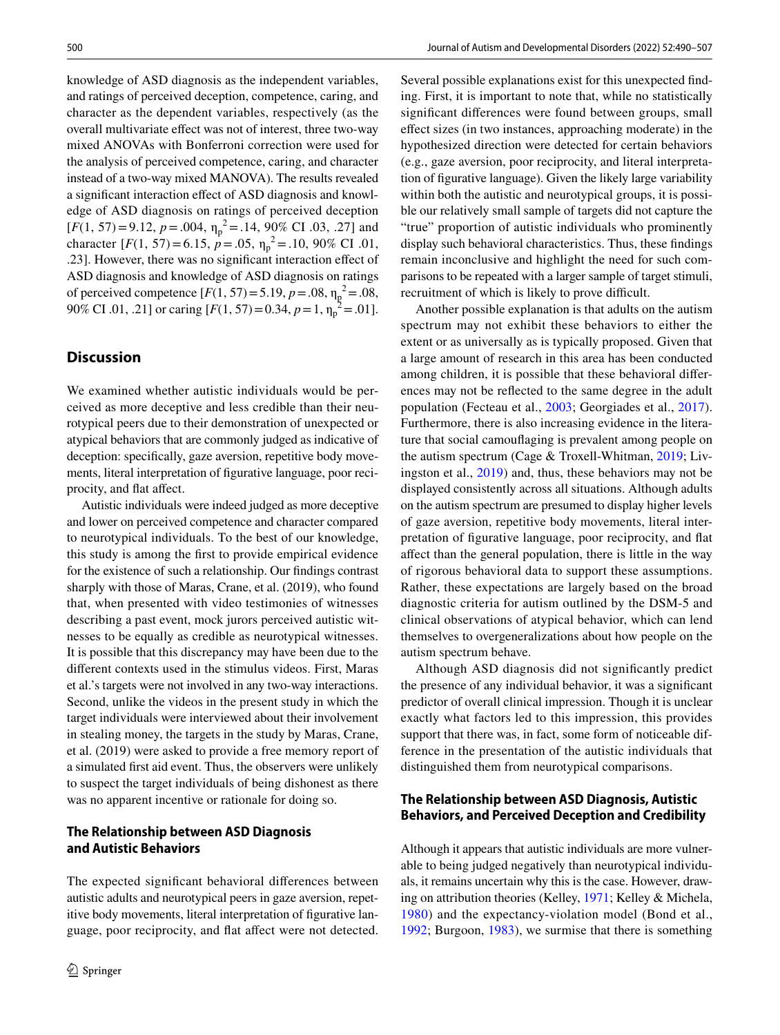knowledge of ASD diagnosis as the independent variables, and ratings of perceived deception, competence, caring, and character as the dependent variables, respectively (as the overall multivariate efect was not of interest, three two-way mixed ANOVAs with Bonferroni correction were used for the analysis of perceived competence, caring, and character instead of a two-way mixed MANOVA). The results revealed a signifcant interaction efect of ASD diagnosis and knowledge of ASD diagnosis on ratings of perceived deception [ $F(1, 57) = 9.12$ ,  $p = .004$ ,  $\eta_p^2 = .14$ , 90% CI .03, .27] and character  $[F(1, 57) = 6.15, p = .05, \eta_p^2 = .10, 90\% \text{ CI} .01,$ .23]. However, there was no signifcant interaction efect of ASD diagnosis and knowledge of ASD diagnosis on ratings of perceived competence  $[F(1, 57) = 5.19, p = .08, \eta_p^2 = .08,$ 90% CI .01, .21] or caring  $[F(1, 57) = 0.34, p = 1, \eta_p^2 = .01]$ .

# **Discussion**

We examined whether autistic individuals would be perceived as more deceptive and less credible than their neurotypical peers due to their demonstration of unexpected or atypical behaviors that are commonly judged as indicative of deception: specifcally, gaze aversion, repetitive body movements, literal interpretation of fgurative language, poor reciprocity, and fat afect.

Autistic individuals were indeed judged as more deceptive and lower on perceived competence and character compared to neurotypical individuals. To the best of our knowledge, this study is among the frst to provide empirical evidence for the existence of such a relationship. Our fndings contrast sharply with those of Maras, Crane, et al. (2019), who found that, when presented with video testimonies of witnesses describing a past event, mock jurors perceived autistic witnesses to be equally as credible as neurotypical witnesses. It is possible that this discrepancy may have been due to the diferent contexts used in the stimulus videos. First, Maras et al.'s targets were not involved in any two-way interactions. Second, unlike the videos in the present study in which the target individuals were interviewed about their involvement in stealing money, the targets in the study by Maras, Crane, et al. (2019) were asked to provide a free memory report of a simulated frst aid event. Thus, the observers were unlikely to suspect the target individuals of being dishonest as there was no apparent incentive or rationale for doing so.

## **The Relationship between ASD Diagnosis and Autistic Behaviors**

The expected signifcant behavioral diferences between autistic adults and neurotypical peers in gaze aversion, repetitive body movements, literal interpretation of figurative language, poor reciprocity, and fat afect were not detected.

Several possible explanations exist for this unexpected fnding. First, it is important to note that, while no statistically signifcant diferences were found between groups, small efect sizes (in two instances, approaching moderate) in the hypothesized direction were detected for certain behaviors (e.g., gaze aversion, poor reciprocity, and literal interpretation of fgurative language). Given the likely large variability within both the autistic and neurotypical groups, it is possible our relatively small sample of targets did not capture the "true" proportion of autistic individuals who prominently display such behavioral characteristics. Thus, these fndings remain inconclusive and highlight the need for such comparisons to be repeated with a larger sample of target stimuli, recruitment of which is likely to prove difficult.

Another possible explanation is that adults on the autism spectrum may not exhibit these behaviors to either the extent or as universally as is typically proposed. Given that a large amount of research in this area has been conducted among children, it is possible that these behavioral diferences may not be refected to the same degree in the adult population (Fecteau et al., [2003](#page-15-16); Georgiades et al., [2017](#page-15-17)). Furthermore, there is also increasing evidence in the literature that social camoufaging is prevalent among people on the autism spectrum (Cage & Troxell-Whitman, [2019;](#page-14-14) Livingston et al., [2019\)](#page-15-26) and, thus, these behaviors may not be displayed consistently across all situations. Although adults on the autism spectrum are presumed to display higher levels of gaze aversion, repetitive body movements, literal interpretation of fgurative language, poor reciprocity, and fat afect than the general population, there is little in the way of rigorous behavioral data to support these assumptions. Rather, these expectations are largely based on the broad diagnostic criteria for autism outlined by the DSM-5 and clinical observations of atypical behavior, which can lend themselves to overgeneralizations about how people on the autism spectrum behave.

Although ASD diagnosis did not signifcantly predict the presence of any individual behavior, it was a signifcant predictor of overall clinical impression. Though it is unclear exactly what factors led to this impression, this provides support that there was, in fact, some form of noticeable difference in the presentation of the autistic individuals that distinguished them from neurotypical comparisons.

### **The Relationship between ASD Diagnosis, Autistic Behaviors, and Perceived Deception and Credibility**

Although it appears that autistic individuals are more vulnerable to being judged negatively than neurotypical individuals, it remains uncertain why this is the case. However, drawing on attribution theories (Kelley, [1971;](#page-15-9) Kelley & Michela, [1980](#page-15-27)) and the expectancy-violation model (Bond et al., [1992](#page-14-9); Burgoon, [1983](#page-14-5)), we surmise that there is something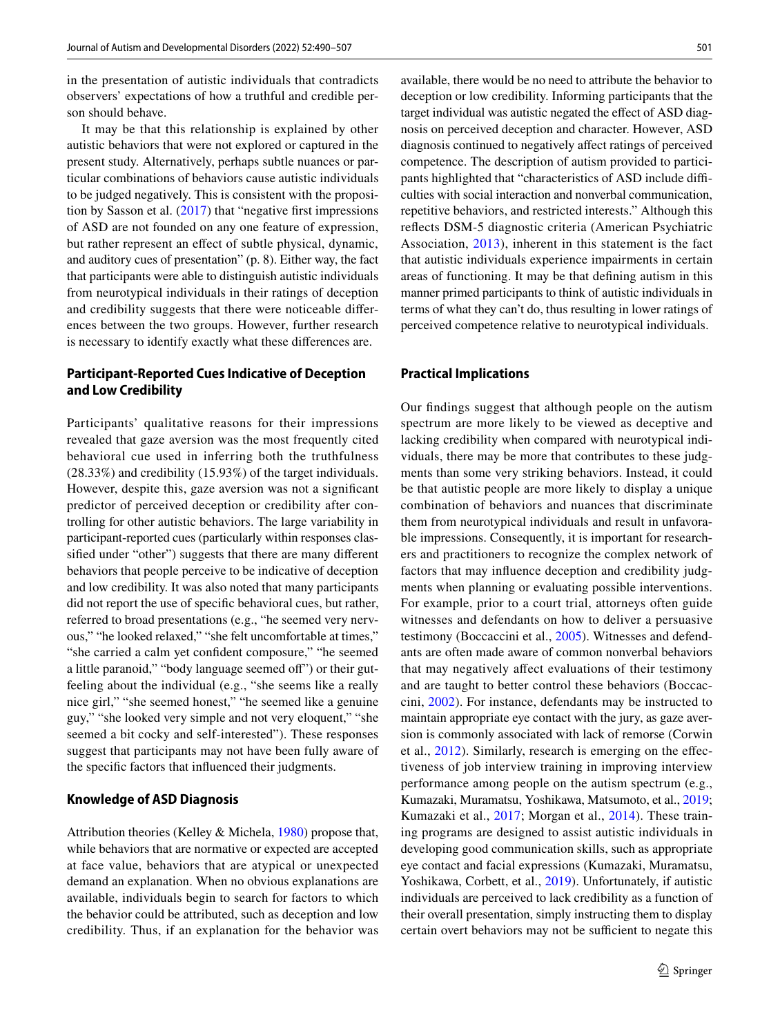in the presentation of autistic individuals that contradicts observers' expectations of how a truthful and credible person should behave.

It may be that this relationship is explained by other autistic behaviors that were not explored or captured in the present study. Alternatively, perhaps subtle nuances or particular combinations of behaviors cause autistic individuals to be judged negatively. This is consistent with the proposition by Sasson et al.  $(2017)$  $(2017)$  $(2017)$  that "negative first impressions" of ASD are not founded on any one feature of expression, but rather represent an efect of subtle physical, dynamic, and auditory cues of presentation" (p. 8). Either way, the fact that participants were able to distinguish autistic individuals from neurotypical individuals in their ratings of deception and credibility suggests that there were noticeable diferences between the two groups. However, further research is necessary to identify exactly what these diferences are.

## **Participant‑Reported Cues Indicative of Deception and Low Credibility**

Participants' qualitative reasons for their impressions revealed that gaze aversion was the most frequently cited behavioral cue used in inferring both the truthfulness (28.33%) and credibility (15.93%) of the target individuals. However, despite this, gaze aversion was not a signifcant predictor of perceived deception or credibility after controlling for other autistic behaviors. The large variability in participant-reported cues (particularly within responses classifed under "other") suggests that there are many diferent behaviors that people perceive to be indicative of deception and low credibility. It was also noted that many participants did not report the use of specifc behavioral cues, but rather, referred to broad presentations (e.g., "he seemed very nervous," "he looked relaxed," "she felt uncomfortable at times," "she carried a calm yet confdent composure," "he seemed a little paranoid," "body language seemed of") or their gutfeeling about the individual (e.g., "she seems like a really nice girl," "she seemed honest," "he seemed like a genuine guy," "she looked very simple and not very eloquent," "she seemed a bit cocky and self-interested"). These responses suggest that participants may not have been fully aware of the specifc factors that infuenced their judgments.

### **Knowledge of ASD Diagnosis**

Attribution theories (Kelley & Michela, [1980\)](#page-15-27) propose that, while behaviors that are normative or expected are accepted at face value, behaviors that are atypical or unexpected demand an explanation. When no obvious explanations are available, individuals begin to search for factors to which the behavior could be attributed, such as deception and low credibility. Thus, if an explanation for the behavior was available, there would be no need to attribute the behavior to deception or low credibility. Informing participants that the target individual was autistic negated the efect of ASD diagnosis on perceived deception and character. However, ASD diagnosis continued to negatively afect ratings of perceived competence. The description of autism provided to participants highlighted that "characteristics of ASD include difficulties with social interaction and nonverbal communication, repetitive behaviors, and restricted interests." Although this refects DSM-5 diagnostic criteria (American Psychiatric Association, [2013](#page-14-10)), inherent in this statement is the fact that autistic individuals experience impairments in certain areas of functioning. It may be that defning autism in this manner primed participants to think of autistic individuals in terms of what they can't do, thus resulting in lower ratings of perceived competence relative to neurotypical individuals.

### **Practical Implications**

Our fndings suggest that although people on the autism spectrum are more likely to be viewed as deceptive and lacking credibility when compared with neurotypical individuals, there may be more that contributes to these judgments than some very striking behaviors. Instead, it could be that autistic people are more likely to display a unique combination of behaviors and nuances that discriminate them from neurotypical individuals and result in unfavorable impressions. Consequently, it is important for researchers and practitioners to recognize the complex network of factors that may infuence deception and credibility judgments when planning or evaluating possible interventions. For example, prior to a court trial, attorneys often guide witnesses and defendants on how to deliver a persuasive testimony (Boccaccini et al., [2005](#page-14-15)). Witnesses and defendants are often made aware of common nonverbal behaviors that may negatively afect evaluations of their testimony and are taught to better control these behaviors (Boccaccini, [2002\)](#page-14-16). For instance, defendants may be instructed to maintain appropriate eye contact with the jury, as gaze aversion is commonly associated with lack of remorse (Corwin et al., [2012](#page-14-17)). Similarly, research is emerging on the efectiveness of job interview training in improving interview performance among people on the autism spectrum (e.g., Kumazaki, Muramatsu, Yoshikawa, Matsumoto, et al., [2019](#page-15-28); Kumazaki et al., [2017;](#page-15-29) Morgan et al., [2014](#page-16-24)). These training programs are designed to assist autistic individuals in developing good communication skills, such as appropriate eye contact and facial expressions (Kumazaki, Muramatsu, Yoshikawa, Corbett, et al., [2019](#page-15-30)). Unfortunately, if autistic individuals are perceived to lack credibility as a function of their overall presentation, simply instructing them to display certain overt behaviors may not be sufficient to negate this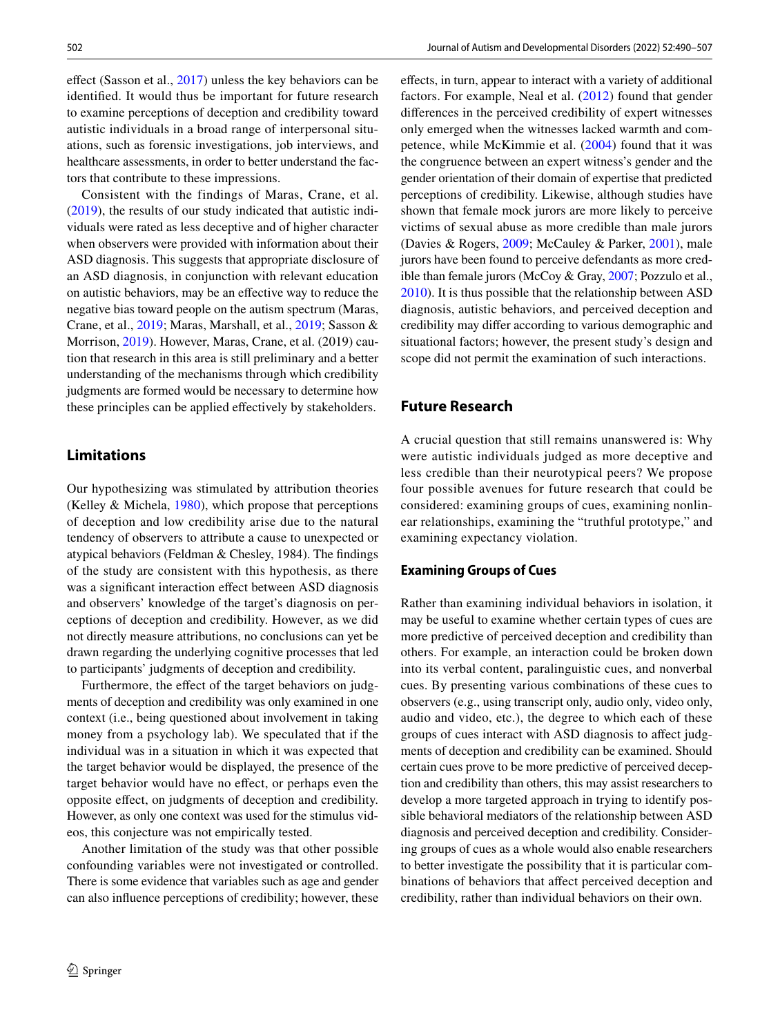efect (Sasson et al., [2017](#page-16-23)) unless the key behaviors can be identifed. It would thus be important for future research to examine perceptions of deception and credibility toward autistic individuals in a broad range of interpersonal situations, such as forensic investigations, job interviews, and healthcare assessments, in order to better understand the factors that contribute to these impressions.

Consistent with the findings of Maras, Crane, et al. [\(2019\)](#page-15-14), the results of our study indicated that autistic individuals were rated as less deceptive and of higher character when observers were provided with information about their ASD diagnosis. This suggests that appropriate disclosure of an ASD diagnosis, in conjunction with relevant education on autistic behaviors, may be an efective way to reduce the negative bias toward people on the autism spectrum (Maras, Crane, et al., [2019;](#page-15-14) Maras, Marshall, et al., [2019;](#page-15-15) Sasson & Morrison, [2019\)](#page-16-18). However, Maras, Crane, et al. (2019) caution that research in this area is still preliminary and a better understanding of the mechanisms through which credibility judgments are formed would be necessary to determine how these principles can be applied efectively by stakeholders.

### **Limitations**

Our hypothesizing was stimulated by attribution theories (Kelley & Michela, [1980](#page-15-27)), which propose that perceptions of deception and low credibility arise due to the natural tendency of observers to attribute a cause to unexpected or atypical behaviors (Feldman & Chesley, 1984). The fndings of the study are consistent with this hypothesis, as there was a signifcant interaction efect between ASD diagnosis and observers' knowledge of the target's diagnosis on perceptions of deception and credibility. However, as we did not directly measure attributions, no conclusions can yet be drawn regarding the underlying cognitive processes that led to participants' judgments of deception and credibility.

Furthermore, the effect of the target behaviors on judgments of deception and credibility was only examined in one context (i.e., being questioned about involvement in taking money from a psychology lab). We speculated that if the individual was in a situation in which it was expected that the target behavior would be displayed, the presence of the target behavior would have no efect, or perhaps even the opposite efect, on judgments of deception and credibility. However, as only one context was used for the stimulus videos, this conjecture was not empirically tested.

Another limitation of the study was that other possible confounding variables were not investigated or controlled. There is some evidence that variables such as age and gender can also infuence perceptions of credibility; however, these efects, in turn, appear to interact with a variety of additional factors. For example, Neal et al. ([2012](#page-16-25)) found that gender diferences in the perceived credibility of expert witnesses only emerged when the witnesses lacked warmth and competence, while McKimmie et al. ([2004\)](#page-16-26) found that it was the congruence between an expert witness's gender and the gender orientation of their domain of expertise that predicted perceptions of credibility. Likewise, although studies have shown that female mock jurors are more likely to perceive victims of sexual abuse as more credible than male jurors (Davies & Rogers, [2009](#page-14-18); McCauley & Parker, [2001](#page-16-27)), male jurors have been found to perceive defendants as more credible than female jurors (McCoy & Gray, [2007](#page-16-28); Pozzulo et al., [2010](#page-16-29)). It is thus possible that the relationship between ASD diagnosis, autistic behaviors, and perceived deception and credibility may difer according to various demographic and situational factors; however, the present study's design and scope did not permit the examination of such interactions.

### **Future Research**

A crucial question that still remains unanswered is: Why were autistic individuals judged as more deceptive and less credible than their neurotypical peers? We propose four possible avenues for future research that could be considered: examining groups of cues, examining nonlinear relationships, examining the "truthful prototype," and examining expectancy violation.

### **Examining Groups of Cues**

Rather than examining individual behaviors in isolation, it may be useful to examine whether certain types of cues are more predictive of perceived deception and credibility than others. For example, an interaction could be broken down into its verbal content, paralinguistic cues, and nonverbal cues. By presenting various combinations of these cues to observers (e.g., using transcript only, audio only, video only, audio and video, etc.), the degree to which each of these groups of cues interact with ASD diagnosis to afect judgments of deception and credibility can be examined. Should certain cues prove to be more predictive of perceived deception and credibility than others, this may assist researchers to develop a more targeted approach in trying to identify possible behavioral mediators of the relationship between ASD diagnosis and perceived deception and credibility. Considering groups of cues as a whole would also enable researchers to better investigate the possibility that it is particular combinations of behaviors that afect perceived deception and credibility, rather than individual behaviors on their own.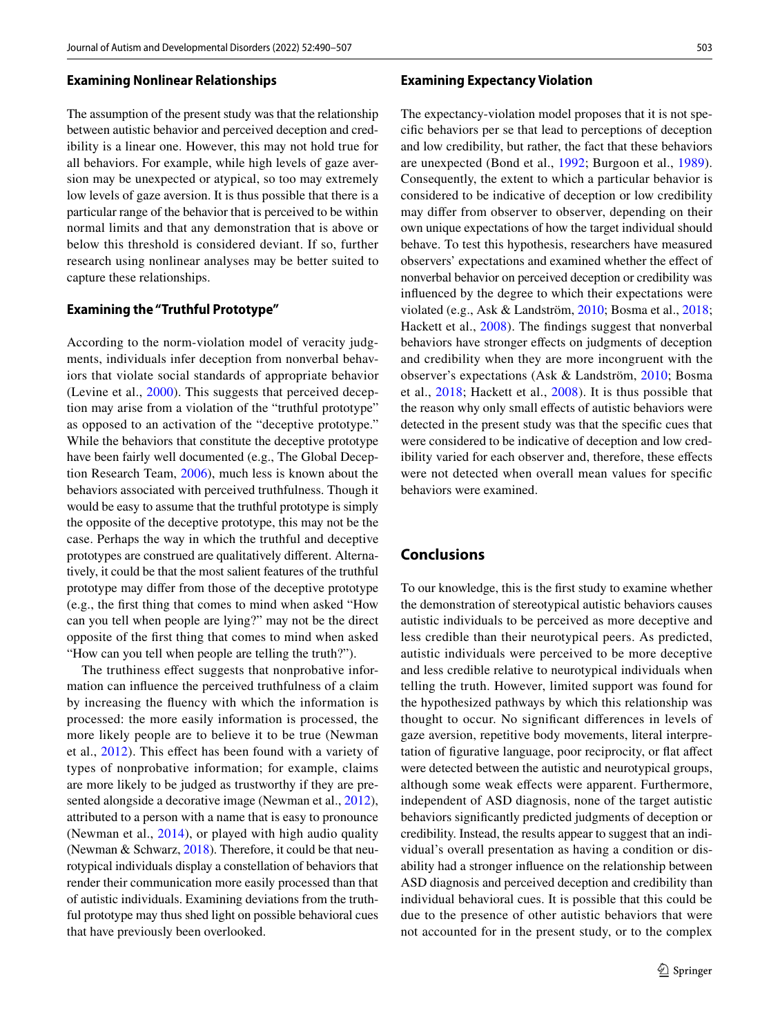#### **Examining Nonlinear Relationships**

The assumption of the present study was that the relationship between autistic behavior and perceived deception and credibility is a linear one. However, this may not hold true for all behaviors. For example, while high levels of gaze aversion may be unexpected or atypical, so too may extremely low levels of gaze aversion. It is thus possible that there is a particular range of the behavior that is perceived to be within normal limits and that any demonstration that is above or below this threshold is considered deviant. If so, further research using nonlinear analyses may be better suited to capture these relationships.

### **Examining the "Truthful Prototype"**

According to the norm-violation model of veracity judgments, individuals infer deception from nonverbal behaviors that violate social standards of appropriate behavior (Levine et al., [2000](#page-15-8)). This suggests that perceived deception may arise from a violation of the "truthful prototype" as opposed to an activation of the "deceptive prototype." While the behaviors that constitute the deceptive prototype have been fairly well documented (e.g., The Global Deception Research Team, [2006](#page-16-0)), much less is known about the behaviors associated with perceived truthfulness. Though it would be easy to assume that the truthful prototype is simply the opposite of the deceptive prototype, this may not be the case. Perhaps the way in which the truthful and deceptive prototypes are construed are qualitatively diferent. Alternatively, it could be that the most salient features of the truthful prototype may difer from those of the deceptive prototype (e.g., the frst thing that comes to mind when asked "How can you tell when people are lying?" may not be the direct opposite of the frst thing that comes to mind when asked "How can you tell when people are telling the truth?").

The truthiness effect suggests that nonprobative information can infuence the perceived truthfulness of a claim by increasing the fuency with which the information is processed: the more easily information is processed, the more likely people are to believe it to be true (Newman et al., [2012\)](#page-16-30). This efect has been found with a variety of types of nonprobative information; for example, claims are more likely to be judged as trustworthy if they are presented alongside a decorative image (Newman et al., [2012](#page-16-30)), attributed to a person with a name that is easy to pronounce (Newman et al., [2014](#page-16-31)), or played with high audio quality (Newman & Schwarz, [2018](#page-16-32)). Therefore, it could be that neurotypical individuals display a constellation of behaviors that render their communication more easily processed than that of autistic individuals. Examining deviations from the truthful prototype may thus shed light on possible behavioral cues that have previously been overlooked.

#### **Examining Expectancy Violation**

The expectancy-violation model proposes that it is not specifc behaviors per se that lead to perceptions of deception and low credibility, but rather, the fact that these behaviors are unexpected (Bond et al., [1992;](#page-14-9) Burgoon et al., [1989](#page-14-8)). Consequently, the extent to which a particular behavior is considered to be indicative of deception or low credibility may difer from observer to observer, depending on their own unique expectations of how the target individual should behave. To test this hypothesis, researchers have measured observers' expectations and examined whether the efect of nonverbal behavior on perceived deception or credibility was infuenced by the degree to which their expectations were violated (e.g., Ask & Landström, [2010](#page-14-19); Bosma et al., [2018](#page-14-20); Hackett et al., [2008](#page-15-31)). The fndings suggest that nonverbal behaviors have stronger efects on judgments of deception and credibility when they are more incongruent with the observer's expectations (Ask & Landström, [2010](#page-14-19); Bosma et al., [2018](#page-14-20); Hackett et al., [2008\)](#page-15-31). It is thus possible that the reason why only small effects of autistic behaviors were detected in the present study was that the specifc cues that were considered to be indicative of deception and low credibility varied for each observer and, therefore, these efects were not detected when overall mean values for specifc behaviors were examined.

### **Conclusions**

To our knowledge, this is the frst study to examine whether the demonstration of stereotypical autistic behaviors causes autistic individuals to be perceived as more deceptive and less credible than their neurotypical peers. As predicted, autistic individuals were perceived to be more deceptive and less credible relative to neurotypical individuals when telling the truth. However, limited support was found for the hypothesized pathways by which this relationship was thought to occur. No signifcant diferences in levels of gaze aversion, repetitive body movements, literal interpretation of fgurative language, poor reciprocity, or fat afect were detected between the autistic and neurotypical groups, although some weak efects were apparent. Furthermore, independent of ASD diagnosis, none of the target autistic behaviors signifcantly predicted judgments of deception or credibility. Instead, the results appear to suggest that an individual's overall presentation as having a condition or disability had a stronger infuence on the relationship between ASD diagnosis and perceived deception and credibility than individual behavioral cues. It is possible that this could be due to the presence of other autistic behaviors that were not accounted for in the present study, or to the complex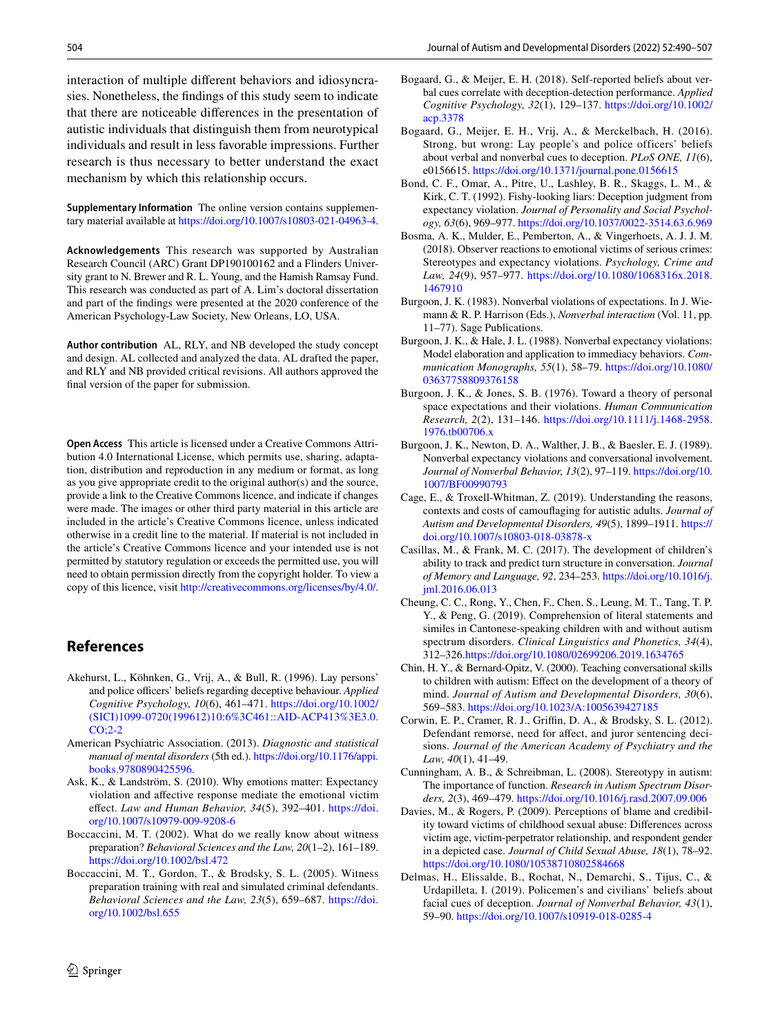interaction of multiple diferent behaviors and idiosyncrasies. Nonetheless, the fndings of this study seem to indicate that there are noticeable diferences in the presentation of autistic individuals that distinguish them from neurotypical individuals and result in less favorable impressions. Further research is thus necessary to better understand the exact mechanism by which this relationship occurs.

**Supplementary Information** The online version contains supplementary material available at<https://doi.org/10.1007/s10803-021-04963-4>.

**Acknowledgements** This research was supported by Australian Research Council (ARC) Grant DP190100162 and a Flinders University grant to N. Brewer and R. L. Young, and the Hamish Ramsay Fund. This research was conducted as part of A. Lim's doctoral dissertation and part of the fndings were presented at the 2020 conference of the American Psychology-Law Society, New Orleans, LO, USA.

**Author contribution** AL, RLY, and NB developed the study concept and design. AL collected and analyzed the data. AL drafted the paper, and RLY and NB provided critical revisions. All authors approved the fnal version of the paper for submission.

**Open Access** This article is licensed under a Creative Commons Attribution 4.0 International License, which permits use, sharing, adaptation, distribution and reproduction in any medium or format, as long as you give appropriate credit to the original author(s) and the source, provide a link to the Creative Commons licence, and indicate if changes were made. The images or other third party material in this article are included in the article's Creative Commons licence, unless indicated otherwise in a credit line to the material. If material is not included in the article's Creative Commons licence and your intended use is not permitted by statutory regulation or exceeds the permitted use, you will need to obtain permission directly from the copyright holder. To view a copy of this licence, visit <http://creativecommons.org/licenses/by/4.0/>.

## **References**

- <span id="page-14-1"></span>Akehurst, L., Köhnken, G., Vrij, A., & Bull, R. (1996). Lay persons' and police officers' beliefs regarding deceptive behaviour. *Applied Cognitive Psychology, 10*(6), 461–471. [https://doi.org/10.1002/](https://doi.org/10.1002/(SICI)1099-0720(199612)10:6%3C461::AID-ACP413%3E3.0.CO;2-2) [\(SICI\)1099-0720\(199612\)10:6%3C461::AID-ACP413%3E3.0.](https://doi.org/10.1002/(SICI)1099-0720(199612)10:6%3C461::AID-ACP413%3E3.0.CO;2-2) [CO;2-2](https://doi.org/10.1002/(SICI)1099-0720(199612)10:6%3C461::AID-ACP413%3E3.0.CO;2-2)
- <span id="page-14-10"></span>American Psychiatric Association. (2013). *Diagnostic and statistical manual of mental disorders* (5th ed.). [https://doi.org/10.1176/appi.](https://doi.org/10.1176/appi.books.9780890425596) [books.9780890425596.](https://doi.org/10.1176/appi.books.9780890425596)
- <span id="page-14-19"></span>Ask, K., & Landström, S. (2010). Why emotions matter: Expectancy violation and afective response mediate the emotional victim efect. *Law and Human Behavior, 34*(5), 392–401. [https://doi.](https://doi.org/10.1007/s10979-009-9208-6) [org/10.1007/s10979-009-9208-6](https://doi.org/10.1007/s10979-009-9208-6)
- <span id="page-14-16"></span>Boccaccini, M. T. (2002). What do we really know about witness preparation? *Behavioral Sciences and the Law, 20*(1–2), 161–189. <https://doi.org/10.1002/bsl.472>
- <span id="page-14-15"></span>Boccaccini, M. T., Gordon, T., & Brodsky, S. L. (2005). Witness preparation training with real and simulated criminal defendants. *Behavioral Sciences and the Law, 23*(5), 659–687. [https://doi.](https://doi.org/10.1002/bsl.655) [org/10.1002/bsl.655](https://doi.org/10.1002/bsl.655)
- <span id="page-14-2"></span>Bogaard, G., & Meijer, E. H. (2018). Self-reported beliefs about verbal cues correlate with deception-detection performance. *Applied Cognitive Psychology, 32*(1), 129–137. [https://doi.org/10.1002/](https://doi.org/10.1002/acp.3378) [acp.3378](https://doi.org/10.1002/acp.3378)
- <span id="page-14-3"></span>Bogaard, G., Meijer, E. H., Vrij, A., & Merckelbach, H. (2016). Strong, but wrong: Lay people's and police officers' beliefs about verbal and nonverbal cues to deception. *PLoS ONE, 11*(6), e0156615.<https://doi.org/10.1371/journal.pone.0156615>
- <span id="page-14-9"></span>Bond, C. F., Omar, A., Pitre, U., Lashley, B. R., Skaggs, L. M., & Kirk, C. T. (1992). Fishy-looking liars: Deception judgment from expectancy violation. *Journal of Personality and Social Psychology, 63*(6), 969–977. <https://doi.org/10.1037/0022-3514.63.6.969>
- <span id="page-14-20"></span>Bosma, A. K., Mulder, E., Pemberton, A., & Vingerhoets, A. J. J. M. (2018). Observer reactions to emotional victims of serious crimes: Stereotypes and expectancy violations. *Psychology, Crime and Law, 24*(9), 957–977. [https://doi.org/10.1080/1068316x.2018.](https://doi.org/10.1080/1068316x.2018.1467910) [1467910](https://doi.org/10.1080/1068316x.2018.1467910)
- <span id="page-14-5"></span>Burgoon, J. K. (1983). Nonverbal violations of expectations. In J. Wiemann & R. P. Harrison (Eds.), *Nonverbal interaction* (Vol. 11, pp. 11–77). Sage Publications.
- <span id="page-14-6"></span>Burgoon, J. K., & Hale, J. L. (1988). Nonverbal expectancy violations: Model elaboration and application to immediacy behaviors. *Communication Monographs, 55*(1), 58–79. [https://doi.org/10.1080/](https://doi.org/10.1080/03637758809376158) [03637758809376158](https://doi.org/10.1080/03637758809376158)
- <span id="page-14-7"></span>Burgoon, J. K., & Jones, S. B. (1976). Toward a theory of personal space expectations and their violations. *Human Communication Research, 2*(2), 131–146. [https://doi.org/10.1111/j.1468-2958.](https://doi.org/10.1111/j.1468-2958.1976.tb00706.x) [1976.tb00706.x](https://doi.org/10.1111/j.1468-2958.1976.tb00706.x)
- <span id="page-14-8"></span>Burgoon, J. K., Newton, D. A., Walther, J. B., & Baesler, E. J. (1989). Nonverbal expectancy violations and conversational involvement. *Journal of Nonverbal Behavior, 13*(2), 97–119. [https://doi.org/10.](https://doi.org/10.1007/BF00990793) [1007/BF00990793](https://doi.org/10.1007/BF00990793)
- <span id="page-14-14"></span>Cage, E., & Troxell-Whitman, Z. (2019). Understanding the reasons, contexts and costs of camoufaging for autistic adults. *Journal of Autism and Developmental Disorders, 49*(5), 1899–1911. [https://](https://doi.org/10.1007/s10803-018-03878-x) [doi.org/10.1007/s10803-018-03878-x](https://doi.org/10.1007/s10803-018-03878-x)
- <span id="page-14-13"></span>Casillas, M., & Frank, M. C. (2017). The development of children's ability to track and predict turn structure in conversation. *Journal of Memory and Language, 92*, 234–253. [https://doi.org/10.1016/j.](https://doi.org/10.1016/j.jml.2016.06.013) [jml.2016.06.013](https://doi.org/10.1016/j.jml.2016.06.013)
- <span id="page-14-12"></span>Cheung, C. C., Rong, Y., Chen, F., Chen, S., Leung, M. T., Tang, T. P. Y., & Peng, G. (2019). Comprehension of literal statements and similes in Cantonese-speaking children with and without autism spectrum disorders. *Clinical Linguistics and Phonetics, 34*(4), 312–326[.https://doi.org/10.1080/02699206.2019.1634765](https://doi.org/10.1080/02699206.2019.1634765)
- <span id="page-14-11"></span>Chin, H. Y., & Bernard-Opitz, V. (2000). Teaching conversational skills to children with autism: Efect on the development of a theory of mind. *Journal of Autism and Developmental Disorders, 30*(6), 569–583.<https://doi.org/10.1023/A:1005639427185>
- <span id="page-14-17"></span>Corwin, E. P., Cramer, R. J., Grifn, D. A., & Brodsky, S. L. (2012). Defendant remorse, need for affect, and juror sentencing decisions. *Journal of the American Academy of Psychiatry and the Law, 40*(1), 41–49.
- <span id="page-14-0"></span>Cunningham, A. B., & Schreibman, L. (2008). Stereotypy in autism: The importance of function. *Research in Autism Spectrum Disorders, 2*(3), 469–479. <https://doi.org/10.1016/j.rasd.2007.09.006>
- <span id="page-14-18"></span>Davies, M., & Rogers, P. (2009). Perceptions of blame and credibility toward victims of childhood sexual abuse: Diferences across victim age, victim-perpetrator relationship, and respondent gender in a depicted case. *Journal of Child Sexual Abuse, 18*(1), 78–92. <https://doi.org/10.1080/10538710802584668>
- <span id="page-14-4"></span>Delmas, H., Elissalde, B., Rochat, N., Demarchi, S., Tijus, C., & Urdapilleta, I. (2019). Policemen's and civilians' beliefs about facial cues of deception. *Journal of Nonverbal Behavior, 43*(1), 59–90. <https://doi.org/10.1007/s10919-018-0285-4>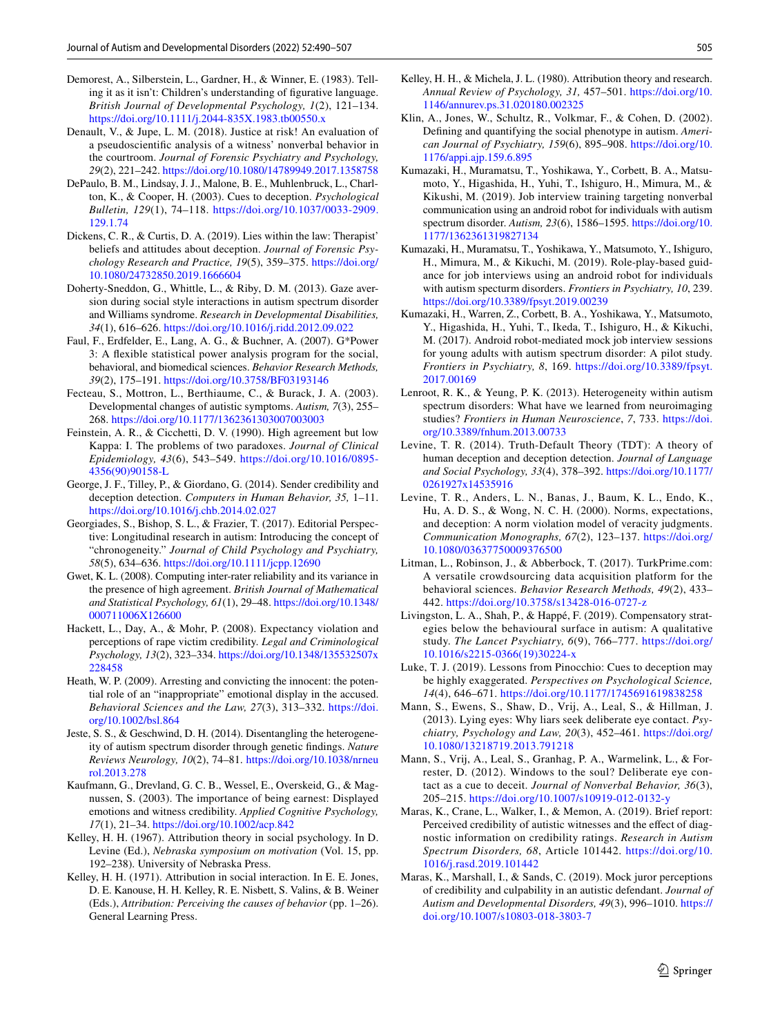- <span id="page-15-13"></span>Demorest, A., Silberstein, L., Gardner, H., & Winner, E. (1983). Telling it as it isn't: Children's understanding of fgurative language. *British Journal of Developmental Psychology, 1*(2), 121–134. <https://doi.org/10.1111/j.2044-835X.1983.tb00550.x>
- <span id="page-15-12"></span>Denault, V., & Jupe, L. M. (2018). Justice at risk! An evaluation of a pseudoscientifc analysis of a witness' nonverbal behavior in the courtroom. *Journal of Forensic Psychiatry and Psychology, 29*(2), 221–242.<https://doi.org/10.1080/14789949.2017.1358758>
- <span id="page-15-2"></span>DePaulo, B. M., Lindsay, J. J., Malone, B. E., Muhlenbruck, L., Charlton, K., & Cooper, H. (2003). Cues to deception. *Psychological Bulletin, 129*(1), 74–118. [https://doi.org/10.1037/0033-2909.](https://doi.org/10.1037/0033-2909.129.1.74) [129.1.74](https://doi.org/10.1037/0033-2909.129.1.74)
- <span id="page-15-6"></span>Dickens, C. R., & Curtis, D. A. (2019). Lies within the law: Therapist' beliefs and attitudes about deception. *Journal of Forensic Psychology Research and Practice, 19*(5), 359–375. [https://doi.org/](https://doi.org/10.1080/24732850.2019.1666604) [10.1080/24732850.2019.1666604](https://doi.org/10.1080/24732850.2019.1666604)
- <span id="page-15-0"></span>Doherty-Sneddon, G., Whittle, L., & Riby, D. M. (2013). Gaze aversion during social style interactions in autism spectrum disorder and Williams syndrome. *Research in Developmental Disabilities, 34*(1), 616–626.<https://doi.org/10.1016/j.ridd.2012.09.022>
- <span id="page-15-20"></span>Faul, F., Erdfelder, E., Lang, A. G., & Buchner, A. (2007). G\*Power 3: A fexible statistical power analysis program for the social, behavioral, and biomedical sciences. *Behavior Research Methods, 39*(2), 175–191.<https://doi.org/10.3758/BF03193146>
- <span id="page-15-16"></span>Fecteau, S., Mottron, L., Berthiaume, C., & Burack, J. A. (2003). Developmental changes of autistic symptoms. *Autism, 7*(3), 255– 268.<https://doi.org/10.1177/1362361303007003003>
- <span id="page-15-24"></span>Feinstein, A. R., & Cicchetti, D. V. (1990). High agreement but low Kappa: I. The problems of two paradoxes. *Journal of Clinical Epidemiology, 43*(6), 543–549. [https://doi.org/10.1016/0895-](https://doi.org/10.1016/0895-4356(90)90158-L) [4356\(90\)90158-L](https://doi.org/10.1016/0895-4356(90)90158-L)
- <span id="page-15-19"></span>George, J. F., Tilley, P., & Giordano, G. (2014). Sender credibility and deception detection. *Computers in Human Behavior, 35,* 1–11. <https://doi.org/10.1016/j.chb.2014.02.027>
- <span id="page-15-17"></span>Georgiades, S., Bishop, S. L., & Frazier, T. (2017). Editorial Perspective: Longitudinal research in autism: Introducing the concept of "chronogeneity." *Journal of Child Psychology and Psychiatry, 58*(5), 634–636.<https://doi.org/10.1111/jcpp.12690>
- <span id="page-15-25"></span>Gwet, K. L. (2008). Computing inter-rater reliability and its variance in the presence of high agreement. *British Journal of Mathematical and Statistical Psychology, 61*(1), 29–48. [https://doi.org/10.1348/](https://doi.org/10.1348/000711006X126600) [000711006X126600](https://doi.org/10.1348/000711006X126600)
- <span id="page-15-31"></span>Hackett, L., Day, A., & Mohr, P. (2008). Expectancy violation and perceptions of rape victim credibility. *Legal and Criminological Psychology, 13*(2), 323–334. [https://doi.org/10.1348/135532507x](https://doi.org/10.1348/135532507x228458) [228458](https://doi.org/10.1348/135532507x228458)
- <span id="page-15-10"></span>Heath, W. P. (2009). Arresting and convicting the innocent: the potential role of an "inappropriate" emotional display in the accused. *Behavioral Sciences and the Law, 27*(3), 313–332. [https://doi.](https://doi.org/10.1002/bsl.864) [org/10.1002/bsl.864](https://doi.org/10.1002/bsl.864)
- <span id="page-15-21"></span>Jeste, S. S., & Geschwind, D. H. (2014). Disentangling the heterogeneity of autism spectrum disorder through genetic fndings. *Nature Reviews Neurology, 10*(2), 74–81. [https://doi.org/10.1038/nrneu](https://doi.org/10.1038/nrneurol.2013.278) [rol.2013.278](https://doi.org/10.1038/nrneurol.2013.278)
- <span id="page-15-11"></span>Kaufmann, G., Drevland, G. C. B., Wessel, E., Overskeid, G., & Magnussen, S. (2003). The importance of being earnest: Displayed emotions and witness credibility. *Applied Cognitive Psychology, 17*(1), 21–34. <https://doi.org/10.1002/acp.842>
- <span id="page-15-7"></span>Kelley, H. H. (1967). Attribution theory in social psychology. In D. Levine (Ed.), *Nebraska symposium on motivation* (Vol. 15, pp. 192–238). University of Nebraska Press.
- <span id="page-15-9"></span>Kelley, H. H. (1971). Attribution in social interaction. In E. E. Jones, D. E. Kanouse, H. H. Kelley, R. E. Nisbett, S. Valins, & B. Weiner (Eds.), *Attribution: Perceiving the causes of behavior* (pp. 1–26). General Learning Press.
- <span id="page-15-27"></span>Kelley, H. H., & Michela, J. L. (1980). Attribution theory and research. *Annual Review of Psychology, 31,* 457–501. [https://doi.org/10.](https://doi.org/10.1146/annurev.ps.31.020180.002325) [1146/annurev.ps.31.020180.002325](https://doi.org/10.1146/annurev.ps.31.020180.002325)
- <span id="page-15-1"></span>Klin, A., Jones, W., Schultz, R., Volkmar, F., & Cohen, D. (2002). Defning and quantifying the social phenotype in autism. *American Journal of Psychiatry, 159*(6), 895–908. [https://doi.org/10.](https://doi.org/10.1176/appi.ajp.159.6.895) [1176/appi.ajp.159.6.895](https://doi.org/10.1176/appi.ajp.159.6.895)
- <span id="page-15-30"></span>Kumazaki, H., Muramatsu, T., Yoshikawa, Y., Corbett, B. A., Matsumoto, Y., Higashida, H., Yuhi, T., Ishiguro, H., Mimura, M., & Kikushi, M. (2019). Job interview training targeting nonverbal communication using an android robot for individuals with autism spectrum disorder. *Autism, 23*(6), 1586–1595. [https://doi.org/10.](https://doi.org/10.1177/1362361319827134) [1177/1362361319827134](https://doi.org/10.1177/1362361319827134)
- <span id="page-15-28"></span>Kumazaki, H., Muramatsu, T., Yoshikawa, Y., Matsumoto, Y., Ishiguro, H., Mimura, M., & Kikuchi, M. (2019). Role-play-based guidance for job interviews using an android robot for individuals with autism specturm disorders. *Frontiers in Psychiatry, 10*, 239. <https://doi.org/10.3389/fpsyt.2019.00239>
- <span id="page-15-29"></span>Kumazaki, H., Warren, Z., Corbett, B. A., Yoshikawa, Y., Matsumoto, Y., Higashida, H., Yuhi, T., Ikeda, T., Ishiguro, H., & Kikuchi, M. (2017). Android robot-mediated mock job interview sessions for young adults with autism spectrum disorder: A pilot study. *Frontiers in Psychiatry, 8*, 169. [https://doi.org/10.3389/fpsyt.](https://doi.org/10.3389/fpsyt.2017.00169) [2017.00169](https://doi.org/10.3389/fpsyt.2017.00169)
- <span id="page-15-22"></span>Lenroot, R. K., & Yeung, P. K. (2013). Heterogeneity within autism spectrum disorders: What have we learned from neuroimaging studies? *Frontiers in Human Neuroscience*, *7*, 733. [https://doi.](https://doi.org/10.3389/fnhum.2013.00733) [org/10.3389/fnhum.2013.00733](https://doi.org/10.3389/fnhum.2013.00733)
- <span id="page-15-23"></span>Levine, T. R. (2014). Truth-Default Theory (TDT): A theory of human deception and deception detection. *Journal of Language and Social Psychology, 33*(4), 378–392. [https://doi.org/10.1177/](https://doi.org/10.1177/0261927x14535916) [0261927x14535916](https://doi.org/10.1177/0261927x14535916)
- <span id="page-15-8"></span>Levine, T. R., Anders, L. N., Banas, J., Baum, K. L., Endo, K., Hu, A. D. S., & Wong, N. C. H. (2000). Norms, expectations, and deception: A norm violation model of veracity judgments. *Communication Monographs, 67*(2), 123–137. [https://doi.org/](https://doi.org/10.1080/03637750009376500) [10.1080/03637750009376500](https://doi.org/10.1080/03637750009376500)
- <span id="page-15-18"></span>Litman, L., Robinson, J., & Abberbock, T. (2017). TurkPrime.com: A versatile crowdsourcing data acquisition platform for the behavioral sciences. *Behavior Research Methods, 49*(2), 433– 442. <https://doi.org/10.3758/s13428-016-0727-z>
- <span id="page-15-26"></span>Livingston, L. A., Shah, P., & Happé, F. (2019). Compensatory strategies below the behavioural surface in autism: A qualitative study. *The Lancet Psychiatry, 6*(9), 766–777. [https://doi.org/](https://doi.org/10.1016/s2215-0366(19)30224-x) [10.1016/s2215-0366\(19\)30224-x](https://doi.org/10.1016/s2215-0366(19)30224-x)
- <span id="page-15-5"></span>Luke, T. J. (2019). Lessons from Pinocchio: Cues to deception may be highly exaggerated. *Perspectives on Psychological Science, 14*(4), 646–671.<https://doi.org/10.1177/1745691619838258>
- <span id="page-15-4"></span>Mann, S., Ewens, S., Shaw, D., Vrij, A., Leal, S., & Hillman, J. (2013). Lying eyes: Why liars seek deliberate eye contact. *Psychiatry, Psychology and Law, 20*(3), 452–461. [https://doi.org/](https://doi.org/10.1080/13218719.2013.791218) [10.1080/13218719.2013.791218](https://doi.org/10.1080/13218719.2013.791218)
- <span id="page-15-3"></span>Mann, S., Vrij, A., Leal, S., Granhag, P. A., Warmelink, L., & Forrester, D. (2012). Windows to the soul? Deliberate eye contact as a cue to deceit. *Journal of Nonverbal Behavior, 36*(3), 205–215.<https://doi.org/10.1007/s10919-012-0132-y>
- <span id="page-15-14"></span>Maras, K., Crane, L., Walker, I., & Memon, A. (2019). Brief report: Perceived credibility of autistic witnesses and the effect of diagnostic information on credibility ratings. *Research in Autism Spectrum Disorders, 68*, Article 101442. [https://doi.org/10.](https://doi.org/10.1016/j.rasd.2019.101442) [1016/j.rasd.2019.101442](https://doi.org/10.1016/j.rasd.2019.101442)
- <span id="page-15-15"></span>Maras, K., Marshall, I., & Sands, C. (2019). Mock juror perceptions of credibility and culpability in an autistic defendant. *Journal of Autism and Developmental Disorders, 49*(3), 996–1010. [https://](https://doi.org/10.1007/s10803-018-3803-7) [doi.org/10.1007/s10803-018-3803-7](https://doi.org/10.1007/s10803-018-3803-7)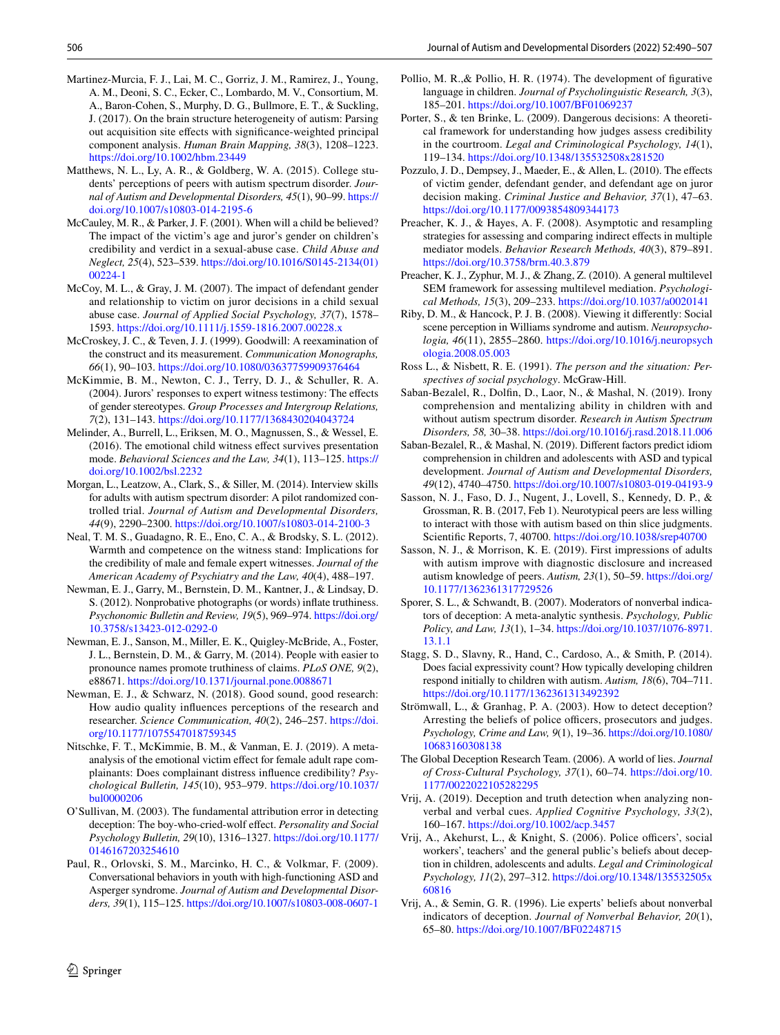- <span id="page-16-19"></span>Martinez-Murcia, F. J., Lai, M. C., Gorriz, J. M., Ramirez, J., Young, A. M., Deoni, S. C., Ecker, C., Lombardo, M. V., Consortium, M. A., Baron-Cohen, S., Murphy, D. G., Bullmore, E. T., & Suckling, J. (2017). On the brain structure heterogeneity of autism: Parsing out acquisition site efects with signifcance-weighted principal component analysis. *Human Brain Mapping, 38*(3), 1208–1223. <https://doi.org/10.1002/hbm.23449>
- <span id="page-16-17"></span>Matthews, N. L., Ly, A. R., & Goldberg, W. A. (2015). College students' perceptions of peers with autism spectrum disorder. *Journal of Autism and Developmental Disorders, 45*(1), 90–99. [https://](https://doi.org/10.1007/s10803-014-2195-6) [doi.org/10.1007/s10803-014-2195-6](https://doi.org/10.1007/s10803-014-2195-6)
- <span id="page-16-27"></span>McCauley, M. R., & Parker, J. F. (2001). When will a child be believed? The impact of the victim's age and juror's gender on children's credibility and verdict in a sexual-abuse case. *Child Abuse and Neglect, 25*(4), 523–539. [https://doi.org/10.1016/S0145-2134\(01\)](https://doi.org/10.1016/S0145-2134(01)00224-1) [00224-1](https://doi.org/10.1016/S0145-2134(01)00224-1)
- <span id="page-16-28"></span>McCoy, M. L., & Gray, J. M. (2007). The impact of defendant gender and relationship to victim on juror decisions in a child sexual abuse case. *Journal of Applied Social Psychology, 37*(7), 1578– 1593.<https://doi.org/10.1111/j.1559-1816.2007.00228.x>
- <span id="page-16-20"></span>McCroskey, J. C., & Teven, J. J. (1999). Goodwill: A reexamination of the construct and its measurement. *Communication Monographs, 66*(1), 90–103. <https://doi.org/10.1080/03637759909376464>
- <span id="page-16-26"></span>McKimmie, B. M., Newton, C. J., Terry, D. J., & Schuller, R. A. (2004). Jurors' responses to expert witness testimony: The efects of gender stereotypes. *Group Processes and Intergroup Relations, 7*(2), 131–143. <https://doi.org/10.1177/1368430204043724>
- <span id="page-16-9"></span>Melinder, A., Burrell, L., Eriksen, M. O., Magnussen, S., & Wessel, E. (2016). The emotional child witness efect survives presentation mode. *Behavioral Sciences and the Law, 34*(1), 113–125. [https://](https://doi.org/10.1002/bsl.2232) [doi.org/10.1002/bsl.2232](https://doi.org/10.1002/bsl.2232)
- <span id="page-16-24"></span>Morgan, L., Leatzow, A., Clark, S., & Siller, M. (2014). Interview skills for adults with autism spectrum disorder: A pilot randomized controlled trial. *Journal of Autism and Developmental Disorders, 44*(9), 2290–2300. <https://doi.org/10.1007/s10803-014-2100-3>
- <span id="page-16-25"></span>Neal, T. M. S., Guadagno, R. E., Eno, C. A., & Brodsky, S. L. (2012). Warmth and competence on the witness stand: Implications for the credibility of male and female expert witnesses. *Journal of the American Academy of Psychiatry and the Law, 40*(4), 488–197.
- <span id="page-16-30"></span>Newman, E. J., Garry, M., Bernstein, D. M., Kantner, J., & Lindsay, D. S. (2012). Nonprobative photographs (or words) infate truthiness. *Psychonomic Bulletin and Review, 19*(5), 969–974. [https://doi.org/](https://doi.org/10.3758/s13423-012-0292-0) [10.3758/s13423-012-0292-0](https://doi.org/10.3758/s13423-012-0292-0)
- <span id="page-16-31"></span>Newman, E. J., Sanson, M., Miller, E. K., Quigley-McBride, A., Foster, J. L., Bernstein, D. M., & Garry, M. (2014). People with easier to pronounce names promote truthiness of claims. *PLoS ONE, 9*(2), e88671. <https://doi.org/10.1371/journal.pone.0088671>
- <span id="page-16-32"></span>Newman, E. J., & Schwarz, N. (2018). Good sound, good research: How audio quality infuences perceptions of the research and researcher. *Science Communication, 40*(2), 246–257. [https://doi.](https://doi.org/10.1177/1075547018759345) [org/10.1177/1075547018759345](https://doi.org/10.1177/1075547018759345)
- <span id="page-16-10"></span>Nitschke, F. T., McKimmie, B. M., & Vanman, E. J. (2019). A metaanalysis of the emotional victim effect for female adult rape complainants: Does complainant distress infuence credibility? *Psychological Bulletin, 145*(10), 953–979. [https://doi.org/10.1037/](https://doi.org/10.1037/bul0000206) [bul0000206](https://doi.org/10.1037/bul0000206)
- <span id="page-16-7"></span>O'Sullivan, M. (2003). The fundamental attribution error in detecting deception: The boy-who-cried-wolf efect. *Personality and Social Psychology Bulletin, 29*(10), 1316–1327. [https://doi.org/10.1177/](https://doi.org/10.1177/0146167203254610) [0146167203254610](https://doi.org/10.1177/0146167203254610)
- <span id="page-16-13"></span>Paul, R., Orlovski, S. M., Marcinko, H. C., & Volkmar, F. (2009). Conversational behaviors in youth with high-functioning ASD and Asperger syndrome. *Journal of Autism and Developmental Disorders, 39*(1), 115–125. <https://doi.org/10.1007/s10803-008-0607-1>
- <span id="page-16-16"></span>Pollio, M. R.,& Pollio, H. R. (1974). The development of fgurative language in children. *Journal of Psycholinguistic Research, 3*(3), 185–201.<https://doi.org/10.1007/BF01069237>
- <span id="page-16-12"></span>Porter, S., & ten Brinke, L. (2009). Dangerous decisions: A theoretical framework for understanding how judges assess credibility in the courtroom. *Legal and Criminological Psychology, 14*(1), 119–134.<https://doi.org/10.1348/135532508x281520>
- <span id="page-16-29"></span>Pozzulo, J. D., Dempsey, J., Maeder, E., & Allen, L. (2010). The effects of victim gender, defendant gender, and defendant age on juror decision making. *Criminal Justice and Behavior, 37*(1), 47–63. <https://doi.org/10.1177/0093854809344173>
- <span id="page-16-21"></span>Preacher, K. J., & Hayes, A. F. (2008). Asymptotic and resampling strategies for assessing and comparing indirect efects in multiple mediator models. *Behavior Research Methods, 40*(3), 879–891. <https://doi.org/10.3758/brm.40.3.879>
- <span id="page-16-22"></span>Preacher, K. J., Zyphur, M. J., & Zhang, Z. (2010). A general multilevel SEM framework for assessing multilevel mediation. *Psychological Methods, 15*(3), 209–233.<https://doi.org/10.1037/a0020141>
- <span id="page-16-1"></span>Riby, D. M., & Hancock, P. J. B. (2008). Viewing it diferently: Social scene perception in Williams syndrome and autism. *Neuropsychologia, 46*(11), 2855–2860. [https://doi.org/10.1016/j.neuropsych](https://doi.org/10.1016/j.neuropsychologia.2008.05.003) [ologia.2008.05.003](https://doi.org/10.1016/j.neuropsychologia.2008.05.003)
- <span id="page-16-8"></span>Ross L., & Nisbett, R. E. (1991). *The person and the situation: Perspectives of social psychology*. McGraw-Hill.
- <span id="page-16-14"></span>Saban-Bezalel, R., Dolfn, D., Laor, N., & Mashal, N. (2019). Irony comprehension and mentalizing ability in children with and without autism spectrum disorder. *Research in Autism Spectrum Disorders, 58,* 30–38.<https://doi.org/10.1016/j.rasd.2018.11.006>
- <span id="page-16-15"></span>Saban-Bezalel, R., & Mashal, N. (2019). Diferent factors predict idiom comprehension in children and adolescents with ASD and typical development. *Journal of Autism and Developmental Disorders, 49*(12), 4740–4750.<https://doi.org/10.1007/s10803-019-04193-9>
- <span id="page-16-23"></span>Sasson, N. J., Faso, D. J., Nugent, J., Lovell, S., Kennedy, D. P., & Grossman, R. B. (2017, Feb 1). Neurotypical peers are less willing to interact with those with autism based on thin slice judgments. Scientifc Reports, 7, 40700.<https://doi.org/10.1038/srep40700>
- <span id="page-16-18"></span>Sasson, N. J., & Morrison, K. E. (2019). First impressions of adults with autism improve with diagnostic disclosure and increased autism knowledge of peers. *Autism, 23*(1), 50–59. [https://doi.org/](https://doi.org/10.1177/1362361317729526) [10.1177/1362361317729526](https://doi.org/10.1177/1362361317729526)
- <span id="page-16-2"></span>Sporer, S. L., & Schwandt, B. (2007). Moderators of nonverbal indicators of deception: A meta-analytic synthesis. *Psychology, Public Policy, and Law, 13*(1), 1–34. [https://doi.org/10.1037/1076-8971.](https://doi.org/10.1037/1076-8971.13.1.1) [13.1.1](https://doi.org/10.1037/1076-8971.13.1.1)
- <span id="page-16-11"></span>Stagg, S. D., Slavny, R., Hand, C., Cardoso, A., & Smith, P. (2014). Does facial expressivity count? How typically developing children respond initially to children with autism. *Autism, 18*(6), 704–711. <https://doi.org/10.1177/1362361313492392>
- <span id="page-16-4"></span>Strömwall, L., & Granhag, P. A. (2003). How to detect deception? Arresting the beliefs of police officers, prosecutors and judges. *Psychology, Crime and Law, 9*(1), 19–36. [https://doi.org/10.1080/](https://doi.org/10.1080/10683160308138) [10683160308138](https://doi.org/10.1080/10683160308138)
- <span id="page-16-0"></span>The Global Deception Research Team. (2006). A world of lies. *Journal of Cross-Cultural Psychology, 37*(1), 60–74. [https://doi.org/10.](https://doi.org/10.1177/0022022105282295) [1177/0022022105282295](https://doi.org/10.1177/0022022105282295)
- <span id="page-16-3"></span>Vrij, A. (2019). Deception and truth detection when analyzing nonverbal and verbal cues. *Applied Cognitive Psychology, 33*(2), 160–167.<https://doi.org/10.1002/acp.3457>
- <span id="page-16-6"></span>Vrij, A., Akehurst, L.,  $\&$  Knight, S. (2006). Police officers', social workers', teachers' and the general public's beliefs about deception in children, adolescents and adults. *Legal and Criminological Psychology, 11*(2), 297–312. [https://doi.org/10.1348/135532505x](https://doi.org/10.1348/135532505x60816) [60816](https://doi.org/10.1348/135532505x60816)
- <span id="page-16-5"></span>Vrij, A., & Semin, G. R. (1996). Lie experts' beliefs about nonverbal indicators of deception. *Journal of Nonverbal Behavior, 20*(1), 65–80. <https://doi.org/10.1007/BF02248715>